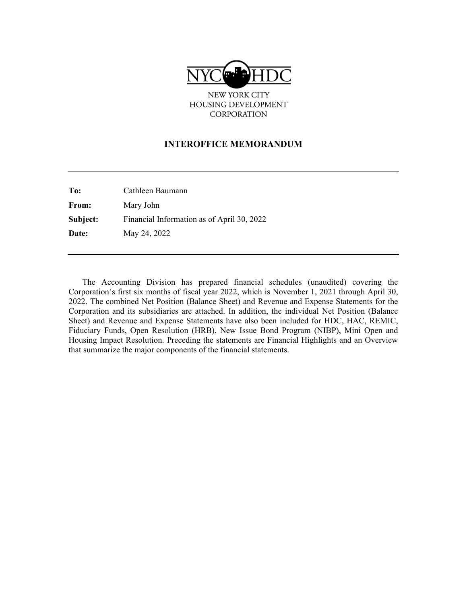

NEW YORK CITY HOUSING DEVELOPMENT CORPORATION

#### **INTEROFFICE MEMORANDUM**

**To:** Cathleen Baumann **From:** Mary John **Subject:** Financial Information as of April 30, 2022 **Date:** May 24, 2022

The Accounting Division has prepared financial schedules (unaudited) covering the Corporation's first six months of fiscal year 2022, which is November 1, 2021 through April 30, 2022. The combined Net Position (Balance Sheet) and Revenue and Expense Statements for the Corporation and its subsidiaries are attached. In addition, the individual Net Position (Balance Sheet) and Revenue and Expense Statements have also been included for HDC, HAC, REMIC, Fiduciary Funds, Open Resolution (HRB), New Issue Bond Program (NIBP), Mini Open and Housing Impact Resolution. Preceding the statements are Financial Highlights and an Overview that summarize the major components of the financial statements.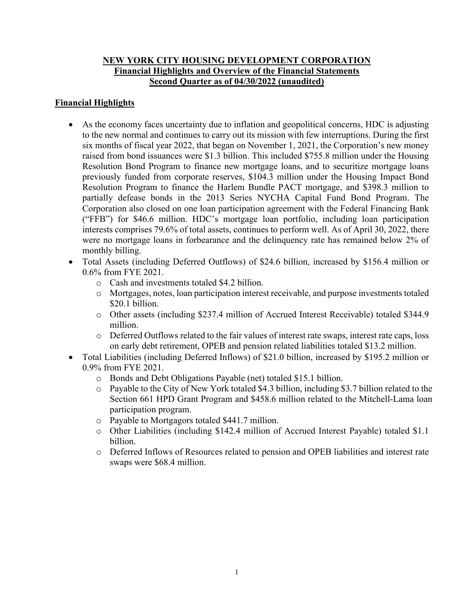# **NEW YORK CITY HOUSING DEVELOPMENT CORPORATION Financial Highlights and Overview of the Financial Statements Second Quarter as of 04/30/2022 (unaudited)**

# **Financial Highlights**

- As the economy faces uncertainty due to inflation and geopolitical concerns, HDC is adjusting to the new normal and continues to carry out its mission with few interruptions. During the first six months of fiscal year 2022, that began on November 1, 2021, the Corporation's new money raised from bond issuances were \$1.3 billion. This included \$755.8 million under the Housing Resolution Bond Program to finance new mortgage loans, and to securitize mortgage loans previously funded from corporate reserves, \$104.3 million under the Housing Impact Bond Resolution Program to finance the Harlem Bundle PACT mortgage, and \$398.3 million to partially defease bonds in the 2013 Series NYCHA Capital Fund Bond Program. The Corporation also closed on one loan participation agreement with the Federal Financing Bank ("FFB") for \$46.6 million. HDC's mortgage loan portfolio, including loan participation interests comprises 79.6% of total assets, continues to perform well. As of April 30, 2022, there were no mortgage loans in forbearance and the delinquency rate has remained below 2% of monthly billing.
- Total Assets (including Deferred Outflows) of \$24.6 billion, increased by \$156.4 million or 0.6% from FYE 2021.
	- o Cash and investments totaled \$4.2 billion.
	- o Mortgages, notes, loan participation interest receivable, and purpose investments totaled \$20.1 billion.
	- o Other assets (including \$237.4 million of Accrued Interest Receivable) totaled \$344.9 million.
	- o Deferred Outflows related to the fair values of interest rate swaps, interest rate caps, loss on early debt retirement, OPEB and pension related liabilities totaled \$13.2 million.
- Total Liabilities (including Deferred Inflows) of \$21.0 billion, increased by \$195.2 million or 0.9% from FYE 2021.
	- o Bonds and Debt Obligations Payable (net) totaled \$15.1 billion.
	- o Payable to the City of New York totaled \$4.3 billion, including \$3.7 billion related to the Section 661 HPD Grant Program and \$458.6 million related to the Mitchell-Lama loan participation program.
	- o Payable to Mortgagors totaled \$441.7 million.
	- o Other Liabilities (including \$142.4 million of Accrued Interest Payable) totaled \$1.1 billion.
	- o Deferred Inflows of Resources related to pension and OPEB liabilities and interest rate swaps were \$68.4 million.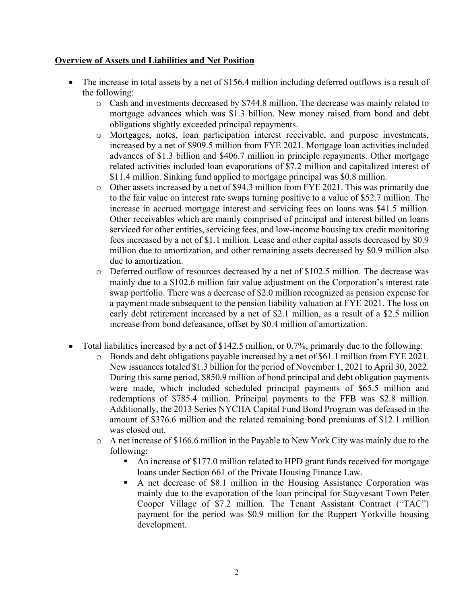## **Overview of Assets and Liabilities and Net Position**

- The increase in total assets by a net of \$156.4 million including deferred outflows is a result of the following:
	- o Cash and investments decreased by \$744.8 million. The decrease was mainly related to mortgage advances which was \$1.3 billion. New money raised from bond and debt obligations slightly exceeded principal repayments.
	- o Mortgages, notes, loan participation interest receivable, and purpose investments, increased by a net of \$909.5 million from FYE 2021. Mortgage loan activities included advances of \$1.3 billion and \$406.7 million in principle repayments. Other mortgage related activities included loan evaporations of \$7.2 million and capitalized interest of \$11.4 million. Sinking fund applied to mortgage principal was \$0.8 million.
	- o Other assets increased by a net of \$94.3 million from FYE 2021. This was primarily due to the fair value on interest rate swaps turning positive to a value of \$52.7 million. The increase in accrued mortgage interest and servicing fees on loans was \$41.5 million. Other receivables which are mainly comprised of principal and interest billed on loans serviced for other entities, servicing fees, and low-income housing tax credit monitoring fees increased by a net of \$1.1 million. Lease and other capital assets decreased by \$0.9 million due to amortization, and other remaining assets decreased by \$0.9 million also due to amortization.
	- o Deferred outflow of resources decreased by a net of \$102.5 million. The decrease was mainly due to a \$102.6 million fair value adjustment on the Corporation's interest rate swap portfolio. There was a decrease of \$2.0 million recognized as pension expense for a payment made subsequent to the pension liability valuation at FYE 2021. The loss on early debt retirement increased by a net of \$2.1 million, as a result of a \$2.5 million increase from bond defeasance, offset by \$0.4 million of amortization.
- Total liabilities increased by a net of \$142.5 million, or 0.7%, primarily due to the following:
	- o Bonds and debt obligations payable increased by a net of \$61.1 million from FYE 2021. New issuances totaled \$1.3 billion for the period of November 1, 2021 to April 30, 2022. During this same period, \$850.9 million of bond principal and debt obligation payments were made, which included scheduled principal payments of \$65.5 million and redemptions of \$785.4 million. Principal payments to the FFB was \$2.8 million. Additionally, the 2013 Series NYCHA Capital Fund Bond Program was defeased in the amount of \$376.6 million and the related remaining bond premiums of \$12.1 million was closed out.
	- o A net increase of \$166.6 million in the Payable to New York City was mainly due to the following:
		- An increase of \$177.0 million related to HPD grant funds received for mortgage loans under Section 661 of the Private Housing Finance Law.
		- A net decrease of \$8.1 million in the Housing Assistance Corporation was mainly due to the evaporation of the loan principal for Stuyvesant Town Peter Cooper Village of \$7.2 million. The Tenant Assistant Contract ("TAC") payment for the period was \$0.9 million for the Ruppert Yorkville housing development.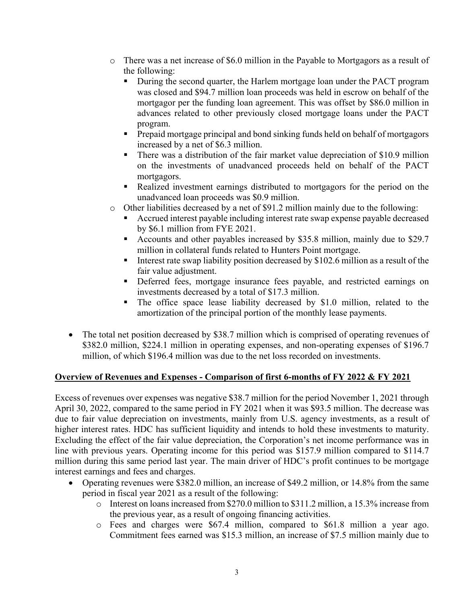- o There was a net increase of \$6.0 million in the Payable to Mortgagors as a result of the following:
	- During the second quarter, the Harlem mortgage loan under the PACT program was closed and \$94.7 million loan proceeds was held in escrow on behalf of the mortgagor per the funding loan agreement. This was offset by \$86.0 million in advances related to other previously closed mortgage loans under the PACT program.
	- **Prepaid mortgage principal and bond sinking funds held on behalf of mortgagors** increased by a net of \$6.3 million.
	- There was a distribution of the fair market value depreciation of \$10.9 million on the investments of unadvanced proceeds held on behalf of the PACT mortgagors.
	- Realized investment earnings distributed to mortgagors for the period on the unadvanced loan proceeds was \$0.9 million.
- $\circ$  Other liabilities decreased by a net of \$91.2 million mainly due to the following:
	- Accrued interest payable including interest rate swap expense payable decreased by \$6.1 million from FYE 2021.
	- Accounts and other payables increased by \$35.8 million, mainly due to \$29.7 million in collateral funds related to Hunters Point mortgage.
	- Interest rate swap liability position decreased by  $$102.6$  million as a result of the fair value adjustment.
	- Deferred fees, mortgage insurance fees payable, and restricted earnings on investments decreased by a total of \$17.3 million.
	- The office space lease liability decreased by \$1.0 million, related to the amortization of the principal portion of the monthly lease payments.
- The total net position decreased by \$38.7 million which is comprised of operating revenues of \$382.0 million, \$224.1 million in operating expenses, and non-operating expenses of \$196.7 million, of which \$196.4 million was due to the net loss recorded on investments.

# **Overview of Revenues and Expenses - Comparison of first 6-months of FY 2022 & FY 2021**

Excess of revenues over expenses was negative \$38.7 million for the period November 1, 2021 through April 30, 2022, compared to the same period in FY 2021 when it was \$93.5 million. The decrease was due to fair value depreciation on investments, mainly from U.S. agency investments, as a result of higher interest rates. HDC has sufficient liquidity and intends to hold these investments to maturity. Excluding the effect of the fair value depreciation, the Corporation's net income performance was in line with previous years. Operating income for this period was \$157.9 million compared to \$114.7 million during this same period last year. The main driver of HDC's profit continues to be mortgage interest earnings and fees and charges.

- Operating revenues were \$382.0 million, an increase of \$49.2 million, or 14.8% from the same period in fiscal year 2021 as a result of the following:
	- o Interest on loans increased from \$270.0 million to \$311.2 million, a 15.3% increase from the previous year, as a result of ongoing financing activities.
	- o Fees and charges were \$67.4 million, compared to \$61.8 million a year ago. Commitment fees earned was \$15.3 million, an increase of \$7.5 million mainly due to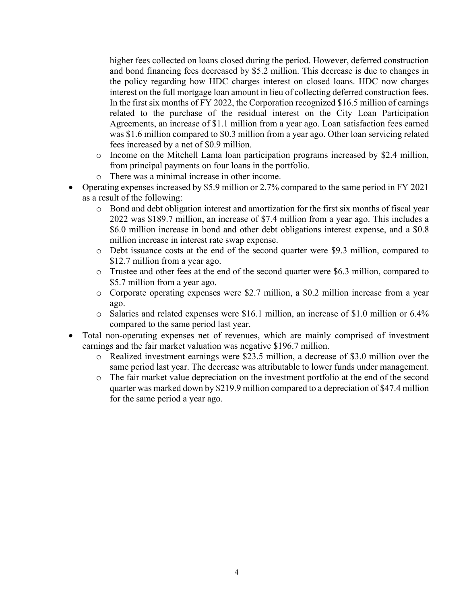higher fees collected on loans closed during the period. However, deferred construction and bond financing fees decreased by \$5.2 million. This decrease is due to changes in the policy regarding how HDC charges interest on closed loans. HDC now charges interest on the full mortgage loan amount in lieu of collecting deferred construction fees. In the first six months of FY 2022, the Corporation recognized \$16.5 million of earnings related to the purchase of the residual interest on the City Loan Participation Agreements, an increase of \$1.1 million from a year ago. Loan satisfaction fees earned was \$1.6 million compared to \$0.3 million from a year ago. Other loan servicing related fees increased by a net of \$0.9 million.

- o Income on the Mitchell Lama loan participation programs increased by \$2.4 million, from principal payments on four loans in the portfolio.
- o There was a minimal increase in other income.
- Operating expenses increased by \$5.9 million or 2.7% compared to the same period in FY 2021 as a result of the following:
	- $\circ$  Bond and debt obligation interest and amortization for the first six months of fiscal year 2022 was \$189.7 million, an increase of \$7.4 million from a year ago. This includes a \$6.0 million increase in bond and other debt obligations interest expense, and a \$0.8 million increase in interest rate swap expense.
	- o Debt issuance costs at the end of the second quarter were \$9.3 million, compared to \$12.7 million from a year ago.
	- o Trustee and other fees at the end of the second quarter were \$6.3 million, compared to \$5.7 million from a year ago.
	- o Corporate operating expenses were \$2.7 million, a \$0.2 million increase from a year ago.
	- o Salaries and related expenses were \$16.1 million, an increase of \$1.0 million or 6.4% compared to the same period last year.
- Total non-operating expenses net of revenues, which are mainly comprised of investment earnings and the fair market valuation was negative \$196.7 million.
	- o Realized investment earnings were \$23.5 million, a decrease of \$3.0 million over the same period last year. The decrease was attributable to lower funds under management.
	- o The fair market value depreciation on the investment portfolio at the end of the second quarter was marked down by \$219.9 million compared to a depreciation of \$47.4 million for the same period a year ago.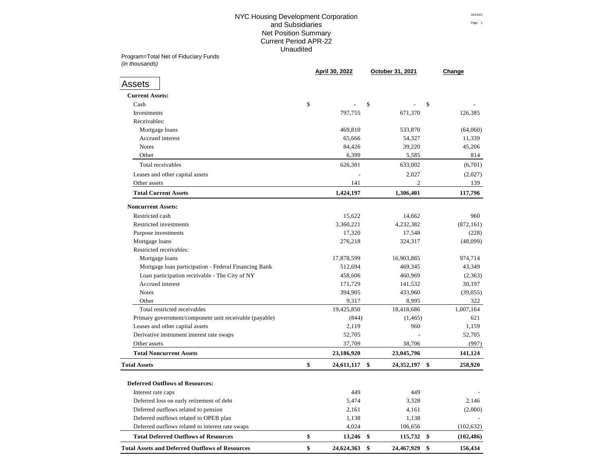# NYC Housing Development Corporation 05/14/22 and Subsidiaries **Page:** 1 Net Position Summary Current Period APR-22 Unaudited

Program=Total Net of Fiduciary Funds *(in thousands)*

|                                                                                                 | April 30, 2022           | October 31, 2021   |               | Change                   |
|-------------------------------------------------------------------------------------------------|--------------------------|--------------------|---------------|--------------------------|
| <b>Assets</b>                                                                                   |                          |                    |               |                          |
| <b>Current Assets:</b>                                                                          |                          |                    |               |                          |
| Cash                                                                                            | \$                       | \$                 | \$            |                          |
| Investments                                                                                     | 797,755                  | 671,370            |               | 126,385                  |
| Receivables:                                                                                    |                          |                    |               |                          |
| Mortgage loans                                                                                  | 469,810                  | 533,870            |               | (64,060)                 |
| Accrued interest                                                                                | 65,666                   | 54,327             |               | 11,339                   |
| <b>Notes</b>                                                                                    | 84,426                   | 39,220             |               | 45,206                   |
| Other                                                                                           | 6,399                    | 5,585              |               | 814                      |
| Total receivables                                                                               | 626,301                  | 633,002            |               | (6,701)                  |
| Leases and other capital assets                                                                 |                          | 2,027              |               | (2,027)                  |
| Other assets                                                                                    | 141                      | 2                  |               | 139                      |
| <b>Total Current Assets</b>                                                                     | 1,424,197                | 1,306,401          |               | 117,796                  |
| <b>Noncurrent Assets:</b>                                                                       |                          |                    |               |                          |
| Restricted cash                                                                                 | 15,622                   | 14,662             |               | 960                      |
| Restricted investments                                                                          | 3,360,221                | 4,232,382          |               | (872, 161)               |
| Purpose investments                                                                             | 17,320                   | 17,548             |               | (228)                    |
| Mortgage loans                                                                                  | 276,218                  | 324,317            |               | (48,099)                 |
| Restricted receivables:                                                                         |                          |                    |               |                          |
| Mortgage loans                                                                                  | 17,878,599               | 16,903,885         |               | 974,714                  |
| Mortgage loan participation - Federal Financing Bank                                            | 512,694                  | 469,345            |               | 43,349                   |
| Loan participation receivable - The City of NY                                                  | 458,606                  | 460,969            |               | (2,363)                  |
| Accrued interest                                                                                | 171,729                  | 141,532            |               | 30,197                   |
| <b>Notes</b>                                                                                    | 394,905                  | 433,960            |               | (39,055)                 |
| Other                                                                                           | 9,317                    | 8,995              |               | 322                      |
| Total restricted receivables                                                                    | 19,425,850               | 18,418,686         |               | 1,007,164                |
| Primary government/component unit receivable (payable)                                          | (844)                    | (1, 465)           |               | 621                      |
| Leases and other capital assets                                                                 | 2,119                    | 960                |               | 1,159                    |
| Derivative instrument interest rate swaps                                                       | 52,705                   |                    |               | 52,705                   |
| Other assets                                                                                    | 37,709                   | 38,706             |               | (997)                    |
| <b>Total Noncurrent Assets</b>                                                                  | 23,186,920               | 23,045,796         |               | 141,124                  |
| <b>Total Assets</b>                                                                             | \$<br>24,611,117         | \$<br>24,352,197   | \$            | 258,920                  |
| <b>Deferred Outflows of Resources:</b>                                                          |                          |                    |               |                          |
|                                                                                                 |                          |                    |               |                          |
| Interest rate caps                                                                              | 449                      | 449                |               |                          |
| Deferred loss on early retirement of debt                                                       | 5,474                    | 3,328              |               | 2,146                    |
| Deferred outflows related to pension                                                            | 2,161                    | 4,161              |               | (2,000)                  |
| Deferred outflows related to OPEB plan                                                          | 1,138                    | 1,138              |               |                          |
| Deferred outflows related to interest rate swaps<br><b>Total Deferred Outflows of Resources</b> | \$<br>4,024<br>13,246 \$ | 106,656<br>115,732 | $\frac{1}{2}$ | (102, 632)<br>(102, 486) |
| <b>Total Assets and Deferred Outflows of Resources</b>                                          | \$<br>24,624,363         | 24,467,929<br>\$   | \$            | 156,434                  |
|                                                                                                 |                          |                    |               |                          |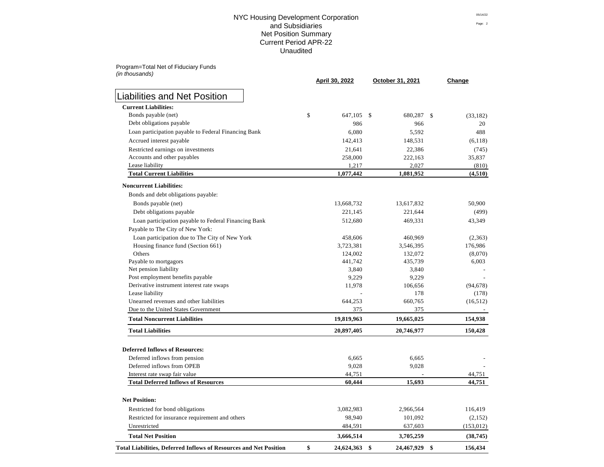# NYC Housing Development Corporation **Distribution** 05/14/22 and Subsidiaries Page: 2 Net Position Summary Prints and Summary Prints and Summary Prints and Summary Prints and Summary Prints and Su Current Period APR-22 Unaudited

Program=Total Net of Fiduciary Funds *(in thousands)*

|                                                                          | April 30, 2022      | October 31, 2021 | Change                       |
|--------------------------------------------------------------------------|---------------------|------------------|------------------------------|
| <b>Liabilities and Net Position</b>                                      |                     |                  |                              |
| <b>Current Liabilities:</b>                                              |                     |                  |                              |
| Bonds payable (net)                                                      | \$<br>647,105 \$    | 680,287          | $\mathbb{S}$<br>(33, 182)    |
| Debt obligations payable                                                 | 986                 | 966              | 20                           |
| Loan participation payable to Federal Financing Bank                     | 6,080               | 5,592            | 488                          |
| Accrued interest payable                                                 | 142,413             | 148,531          | (6,118)                      |
| Restricted earnings on investments                                       | 21,641              | 22,386           | (745)                        |
| Accounts and other payables                                              | 258,000             | 222,163          | 35,837                       |
| Lease liability                                                          | 1,217               | 2,027            | (810)                        |
| <b>Total Current Liabilities</b>                                         | 1,077,442           | 1,081,952        | (4,510)                      |
| <b>Noncurrent Liabilities:</b>                                           |                     |                  |                              |
| Bonds and debt obligations payable:                                      |                     |                  |                              |
| Bonds payable (net)                                                      | 13,668,732          | 13,617,832       | 50,900                       |
| Debt obligations payable                                                 | 221,145             | 221,644          | (499)                        |
| Loan participation payable to Federal Financing Bank                     | 512,680             | 469,331          | 43,349                       |
| Payable to The City of New York:                                         |                     |                  |                              |
| Loan participation due to The City of New York                           | 458,606             | 460,969          | (2,363)                      |
| Housing finance fund (Section 661)                                       | 3,723,381           | 3,546,395        | 176,986                      |
| Others                                                                   | 124,002             | 132,072          | (8,070)                      |
| Payable to mortgagors                                                    | 441,742             | 435,739          | 6,003                        |
| Net pension liability                                                    | 3,840               | 3,840            |                              |
| Post employment benefits payable                                         | 9,229               | 9,229            |                              |
| Derivative instrument interest rate swaps                                | 11,978              | 106,656          | (94, 678)                    |
| Lease liability                                                          |                     | 178              | (178)                        |
| Unearned revenues and other liabilities                                  | 644,253             | 660,765          | (16,512)                     |
| Due to the United States Government                                      | 375                 | 375              |                              |
| <b>Total Noncurrent Liabilities</b>                                      | 19,819,963          | 19,665,025       | 154,938                      |
| <b>Total Liabilities</b>                                                 | 20,897,405          | 20,746,977       | 150,428                      |
| <b>Deferred Inflows of Resources:</b>                                    |                     |                  |                              |
| Deferred inflows from pension                                            | 6,665               | 6,665            |                              |
| Deferred inflows from OPEB                                               | 9,028               | 9,028            |                              |
| Interest rate swap fair value                                            | 44,751              |                  | 44,751                       |
| <b>Total Deferred Inflows of Resources</b>                               | 60,444              | 15,693           | 44,751                       |
| <b>Net Position:</b>                                                     |                     |                  |                              |
| Restricted for bond obligations                                          | 3,082,983           | 2,966,564        | 116,419                      |
| Restricted for insurance requirement and others                          | 98,940              | 101,092          | (2,152)                      |
| Unrestricted                                                             | 484,591             | 637,603          | (153, 012)                   |
| <b>Total Net Position</b>                                                | 3,666,514           | 3,705,259        | (38, 745)                    |
| <b>Total Liabilities, Deferred Inflows of Resources and Net Position</b> | \$<br>24,624,363 \$ | 24,467,929       | $\boldsymbol{\$}$<br>156,434 |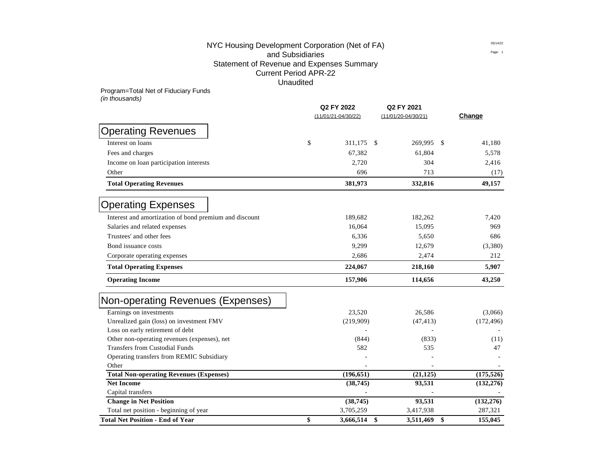# NYC Housing Development Corporation (Net of FA)  $\frac{0.5714/22}{P_{\text{Page 1}}}$ and Subsidiaries Statement of Revenue and Expenses Summary Current Period APR-22 Unaudited

Program=Total Net of Fiduciary Funds

*(in thousands)*

|                                                        | Q2 FY 2022<br>$(11/01/21 - 04/30/22)$ |            | Q2 FY 2021<br>$(11/01/20-04/30/21)$ | Change        |
|--------------------------------------------------------|---------------------------------------|------------|-------------------------------------|---------------|
|                                                        |                                       |            |                                     |               |
| <b>Operating Revenues</b>                              |                                       |            |                                     |               |
| Interest on loans                                      | \$                                    | 311,175    | 269,995<br><sup>\$</sup>            | 41,180<br>-S  |
| Fees and charges                                       |                                       | 67,382     | 61,804                              | 5,578         |
| Income on loan participation interests                 |                                       | 2,720      | 304                                 | 2,416         |
| Other                                                  |                                       | 696        | 713                                 | (17)          |
| <b>Total Operating Revenues</b>                        |                                       | 381,973    | 332,816                             | 49,157        |
| <b>Operating Expenses</b>                              |                                       |            |                                     |               |
| Interest and amortization of bond premium and discount |                                       | 189,682    | 182,262                             | 7,420         |
| Salaries and related expenses                          |                                       | 16,064     | 15,095                              | 969           |
| Trustees' and other fees                               |                                       | 6,336      | 5,650                               | 686           |
| Bond issuance costs                                    |                                       | 9,299      | 12,679                              | (3,380)       |
| Corporate operating expenses                           |                                       | 2,686      | 2,474                               | 212           |
| <b>Total Operating Expenses</b>                        |                                       | 224,067    | 218,160                             | 5,907         |
| <b>Operating Income</b>                                |                                       | 157,906    | 114,656                             | 43,250        |
| Non-operating Revenues (Expenses)                      |                                       |            |                                     |               |
| Earnings on investments                                |                                       | 23,520     | 26,586                              | (3,066)       |
| Unrealized gain (loss) on investment FMV               |                                       | (219,909)  | (47, 413)                           | (172, 496)    |
| Loss on early retirement of debt                       |                                       |            |                                     |               |
| Other non-operating revenues (expenses), net           |                                       | (844)      | (833)                               | (11)          |
| <b>Transfers from Custodial Funds</b>                  |                                       | 582        | 535                                 | 47            |
| Operating transfers from REMIC Subsidiary              |                                       |            |                                     |               |
| Other                                                  |                                       |            |                                     |               |
| <b>Total Non-operating Revenues (Expenses)</b>         |                                       | (196, 651) | (21, 125)                           | (175, 526)    |
| <b>Net Income</b>                                      |                                       | (38, 745)  | 93,531                              | (132, 276)    |
| Capital transfers                                      |                                       |            |                                     |               |
| <b>Change in Net Position</b>                          |                                       | (38, 745)  | 93,531                              | (132, 276)    |
| Total net position - beginning of year                 |                                       | 3,705,259  | 3,417,938                           | 287,321       |
| <b>Total Net Position - End of Year</b>                | \$                                    | 3,666,514  | \$<br>3,511,469                     | \$<br>155,045 |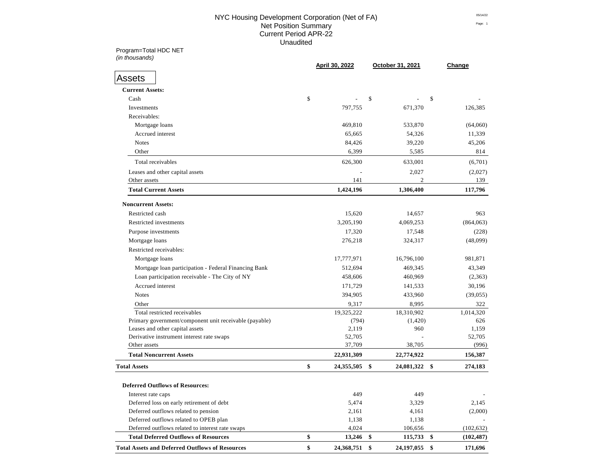## NYC Housing Development Corporation (Net of FA) **DESITENT** 05/14/22 Net Position Summary Page: 1 Current Period APR-22 Unaudited

Program=Total HDC NET *(in thousands)*

|                                                                                | April 30, 2022   | October 31, 2021         | Change                         |
|--------------------------------------------------------------------------------|------------------|--------------------------|--------------------------------|
| Assets                                                                         |                  |                          |                                |
| <b>Current Assets:</b>                                                         |                  |                          |                                |
| Cash                                                                           | \$               | \$                       | \$                             |
| Investments                                                                    | 797,755          | 671,370                  | 126,385                        |
| Receivables:                                                                   |                  |                          |                                |
| Mortgage loans                                                                 | 469,810          | 533,870                  | (64,060)                       |
| Accrued interest                                                               | 65,665           | 54,326                   | 11,339                         |
| <b>Notes</b>                                                                   | 84,426           | 39,220                   | 45,206                         |
| Other                                                                          | 6,399            | 5,585                    | 814                            |
| Total receivables                                                              | 626,300          | 633,001                  | (6,701)                        |
| Leases and other capital assets                                                |                  | 2,027                    | (2,027)                        |
| Other assets                                                                   | 141              | 2                        | 139                            |
| <b>Total Current Assets</b>                                                    | 1,424,196        | 1,306,400                | 117,796                        |
| <b>Noncurrent Assets:</b>                                                      |                  |                          |                                |
| Restricted cash                                                                | 15,620           | 14,657                   | 963                            |
| Restricted investments                                                         | 3,205,190        | 4,069,253                | (864,063)                      |
| Purpose investments                                                            | 17,320           | 17,548                   | (228)                          |
| Mortgage loans                                                                 | 276,218          | 324,317                  | (48,099)                       |
| Restricted receivables:                                                        |                  |                          |                                |
| Mortgage loans                                                                 | 17,777,971       | 16,796,100               | 981,871                        |
| Mortgage loan participation - Federal Financing Bank                           | 512,694          | 469,345                  | 43,349                         |
| Loan participation receivable - The City of NY                                 | 458,606          | 460,969                  | (2,363)                        |
| Accrued interest                                                               | 171,729          | 141,533                  | 30,196                         |
| <b>Notes</b>                                                                   | 394,905          | 433,960                  | (39,055)                       |
| Other                                                                          | 9,317            | 8,995                    | 322                            |
| Total restricted receivables                                                   | 19,325,222       | 18,310,902               | 1,014,320                      |
| Primary government/component unit receivable (payable)                         | (794)            | (1,420)                  | 626                            |
| Leases and other capital assets                                                | 2,119            | 960                      | 1,159                          |
| Derivative instrument interest rate swaps                                      | 52,705           |                          | 52,705                         |
| Other assets                                                                   | 37,709           | 38,705                   | (996)                          |
| <b>Total Noncurrent Assets</b>                                                 | 22,931,309       | 22,774,922               | 156,387                        |
|                                                                                | \$<br>24,355,505 | \$<br>24,081,322         | \$<br>274,183                  |
| <b>Total Assets</b>                                                            |                  |                          |                                |
| <b>Deferred Outflows of Resources:</b>                                         |                  |                          |                                |
| Interest rate caps                                                             | 449              | 449                      |                                |
| Deferred loss on early retirement of debt                                      | 5,474            | 3,329                    | 2,145                          |
| Deferred outflows related to pension<br>Deferred outflows related to OPEB plan | 2,161<br>1,138   | 4,161<br>1,138           | (2,000)                        |
| Deferred outflows related to interest rate swaps                               | 4,024            |                          |                                |
| <b>Total Deferred Outflows of Resources</b>                                    | \$<br>13,246     | 106,656<br>\$<br>115,733 | \$<br>(102, 632)<br>(102, 487) |
|                                                                                |                  |                          |                                |
| <b>Total Assets and Deferred Outflows of Resources</b>                         | \$<br>24,368,751 | \$<br>24, 197, 055       | \$<br>171,696                  |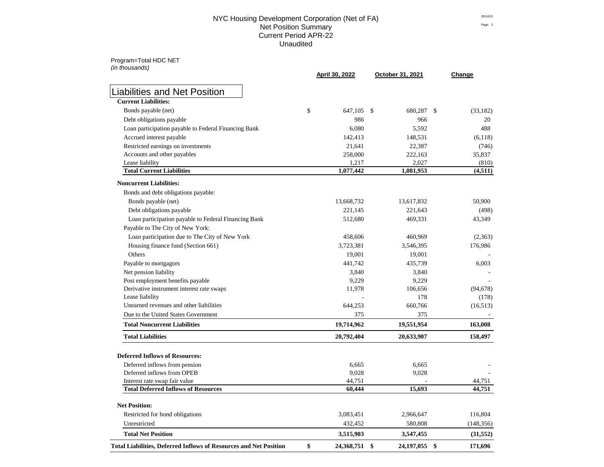### NYC Housing Development Corporation (Net of FA)  $^{05/14/22}$ Net Position Summary Page: 2 Current Period APR-22 Unaudited

Program=Total HDC NET

| (in thousands)                                                           | April 30, 2022   | October 31, 2021   | Change         |
|--------------------------------------------------------------------------|------------------|--------------------|----------------|
| <b>Liabilities and Net Position</b>                                      |                  |                    |                |
| <b>Current Liabilities:</b>                                              |                  |                    |                |
| Bonds payable (net)                                                      | \$<br>647,105    | \$<br>680,287      | (33,182)<br>\$ |
| Debt obligations payable                                                 | 986              | 966                | 20             |
| Loan participation payable to Federal Financing Bank                     | 6,080            | 5,592              | 488            |
| Accrued interest payable                                                 | 142,413          | 148,531            | (6,118)        |
| Restricted earnings on investments                                       | 21,641           | 22,387             | (746)          |
| Accounts and other payables                                              | 258,000          | 222,163            | 35,837         |
| Lease liability                                                          | 1,217            | 2,027              | (810)          |
| <b>Total Current Liabilities</b>                                         | 1,077,442        | 1,081,953          | (4,511)        |
| <b>Noncurrent Liabilities:</b>                                           |                  |                    |                |
| Bonds and debt obligations payable:                                      |                  |                    |                |
| Bonds payable (net)                                                      | 13,668,732       | 13,617,832         | 50,900         |
| Debt obligations payable                                                 | 221,145          | 221,643            | (498)          |
| Loan participation payable to Federal Financing Bank                     | 512,680          | 469,331            | 43,349         |
| Payable to The City of New York:                                         |                  |                    |                |
| Loan participation due to The City of New York                           | 458,606          | 460,969            | (2,363)        |
| Housing finance fund (Section 661)                                       | 3,723,381        | 3,546,395          | 176,986        |
| Others                                                                   | 19,001           | 19,001             |                |
| Payable to mortgagors                                                    | 441,742          | 435,739            | 6,003          |
| Net pension liability                                                    | 3,840            | 3,840              |                |
| Post employment benefits payable                                         | 9,229            | 9,229              |                |
| Derivative instrument interest rate swaps                                | 11,978           | 106,656            | (94, 678)      |
| Lease liability                                                          |                  | 178                | (178)          |
| Unearned revenues and other liabilities                                  | 644,253          | 660,766            | (16,513)       |
| Due to the United States Government                                      | 375              | 375                |                |
| <b>Total Noncurrent Liabilities</b>                                      | 19,714,962       | 19,551,954         | 163,008        |
| <b>Total Liabilities</b>                                                 | 20,792,404       | 20,633,907         | 158,497        |
| <b>Deferred Inflows of Resources:</b>                                    |                  |                    |                |
| Deferred inflows from pension                                            | 6,665            | 6,665              |                |
| Deferred inflows from OPEB                                               | 9,028            | 9,028              |                |
| Interest rate swap fair value                                            | 44,751           |                    | 44,751         |
| <b>Total Deferred Inflows of Resources</b>                               | 60,444           | 15,693             | 44,751         |
| <b>Net Position:</b>                                                     |                  |                    |                |
| Restricted for bond obligations                                          | 3,083,451        | 2,966,647          | 116,804        |
| Unrestricted                                                             | 432,452          | 580,808            | (148, 356)     |
| <b>Total Net Position</b>                                                | 3,515,903        | 3,547,455          | (31,552)       |
| <b>Total Liabilities, Deferred Inflows of Resources and Net Position</b> | \$<br>24,368,751 | \$<br>24, 197, 055 | \$<br>171,696  |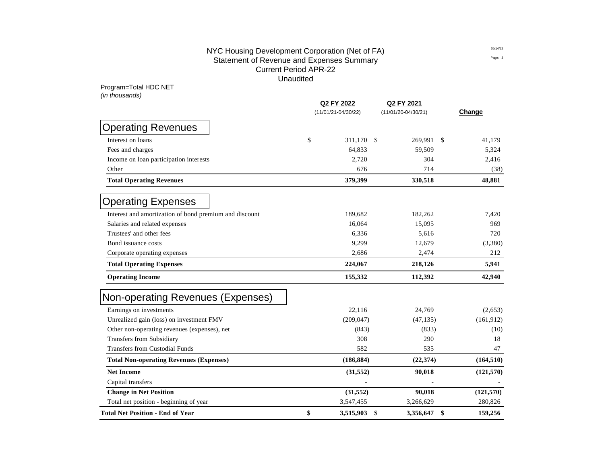# NYC Housing Development Corporation (Net of FA)  $^{05/14/22}$ Statement of Revenue and Expenses Summary **Expenditure Statement of Rege:** 3 Current Period APR-22 Unaudited

Program=Total HDC NET *(in thousands)*

|                                                        | Q2 FY 2022 |                         | Q2 FY 2021              |           |      |            |
|--------------------------------------------------------|------------|-------------------------|-------------------------|-----------|------|------------|
|                                                        |            | $(11/01/21 - 04/30/22)$ | $(11/01/20 - 04/30/21)$ |           |      | Change     |
| <b>Operating Revenues</b>                              |            |                         |                         |           |      |            |
| Interest on loans                                      | \$         | 311,170 \$              |                         | 269,991   | - \$ | 41,179     |
| Fees and charges                                       |            | 64,833                  |                         | 59,509    |      | 5,324      |
| Income on loan participation interests                 |            | 2,720                   |                         | 304       |      | 2,416      |
| Other                                                  |            | 676                     |                         | 714       |      | (38)       |
| <b>Total Operating Revenues</b>                        |            | 379,399                 |                         | 330,518   |      | 48,881     |
| <b>Operating Expenses</b>                              |            |                         |                         |           |      |            |
| Interest and amortization of bond premium and discount |            | 189,682                 |                         | 182,262   |      | 7,420      |
| Salaries and related expenses                          |            | 16,064                  |                         | 15,095    |      | 969        |
| Trustees' and other fees                               |            | 6,336                   |                         | 5,616     |      | 720        |
| Bond issuance costs                                    |            | 9,299                   |                         | 12,679    |      | (3,380)    |
| Corporate operating expenses                           |            | 2,686                   |                         | 2,474     |      | 212        |
| <b>Total Operating Expenses</b>                        |            | 224,067                 |                         | 218,126   |      | 5,941      |
| <b>Operating Income</b>                                |            | 155,332                 |                         | 112,392   |      | 42,940     |
| Non-operating Revenues (Expenses)                      |            |                         |                         |           |      |            |
| Earnings on investments                                |            | 22,116                  |                         | 24,769    |      | (2,653)    |
| Unrealized gain (loss) on investment FMV               |            | (209, 047)              |                         | (47, 135) |      | (161, 912) |
| Other non-operating revenues (expenses), net           |            | (843)                   |                         | (833)     |      | (10)       |
| <b>Transfers from Subsidiary</b>                       |            | 308                     |                         | 290       |      | 18         |
| <b>Transfers from Custodial Funds</b>                  |            | 582                     |                         | 535       |      | 47         |
| <b>Total Non-operating Revenues (Expenses)</b>         |            | (186, 884)              |                         | (22, 374) |      | (164, 510) |
| <b>Net Income</b>                                      |            | (31, 552)               |                         | 90,018    |      | (121, 570) |
| Capital transfers                                      |            |                         |                         |           |      |            |
| <b>Change in Net Position</b>                          |            | (31, 552)               |                         | 90,018    |      | (121,570)  |
| Total net position - beginning of year                 |            | 3,547,455               |                         | 3,266,629 |      | 280,826    |
| <b>Total Net Position - End of Year</b>                | \$         | 3,515,903               | \$                      | 3,356,647 | \$   | 159,256    |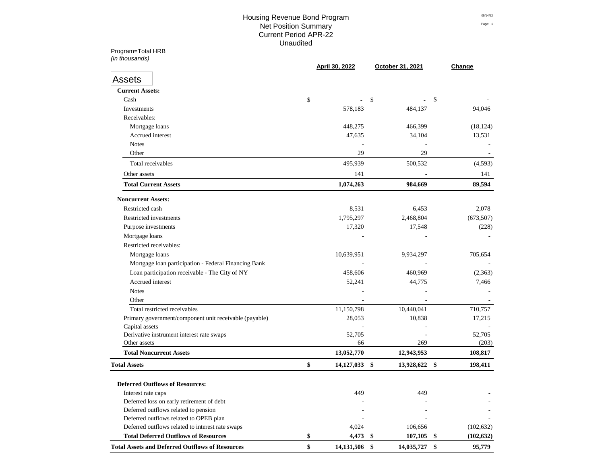# Housing Revenue Bond Program Prints and Assembly of the Contract of the Contract of the Contract of the Contract of the Contract of the Contract of the Contract of the Contract of the Contract of the Contract of the Contra Net Position Summary Page: 1 Current Period APR-22 Unaudited

Program=Total HRB **Q2 FY 2022 Q2 FY 2021**

|                                                                                   | April 30, 2022   | October 31, 2021             |                            | Change     |
|-----------------------------------------------------------------------------------|------------------|------------------------------|----------------------------|------------|
| <b>Assets</b>                                                                     |                  |                              |                            |            |
| <b>Current Assets:</b>                                                            |                  |                              |                            |            |
| Cash                                                                              | \$               | \$                           | \$                         |            |
| Investments                                                                       | 578,183          | 484,137                      |                            | 94,046     |
| Receivables:                                                                      |                  |                              |                            |            |
| Mortgage loans                                                                    | 448,275          | 466,399                      |                            | (18, 124)  |
| Accrued interest                                                                  | 47,635           | 34,104                       |                            | 13,531     |
| <b>Notes</b>                                                                      |                  |                              |                            |            |
| Other                                                                             | 29               | 29                           |                            |            |
| Total receivables                                                                 | 495,939          | 500,532                      |                            | (4,593)    |
| Other assets                                                                      | 141              |                              |                            | 141        |
| <b>Total Current Assets</b>                                                       | 1,074,263        | 984,669                      |                            | 89,594     |
| <b>Noncurrent Assets:</b>                                                         |                  |                              |                            |            |
| Restricted cash                                                                   | 8,531            | 6,453                        |                            | 2,078      |
| Restricted investments                                                            | 1,795,297        | 2,468,804                    |                            | (673, 507) |
| Purpose investments                                                               | 17,320           | 17,548                       |                            | (228)      |
| Mortgage loans                                                                    |                  |                              |                            |            |
| Restricted receivables:                                                           |                  |                              |                            |            |
| Mortgage loans                                                                    | 10,639,951       | 9,934,297                    |                            | 705,654    |
| Mortgage loan participation - Federal Financing Bank                              |                  |                              |                            |            |
| Loan participation receivable - The City of NY                                    | 458,606          | 460,969                      |                            | (2,363)    |
| Accrued interest                                                                  | 52,241           | 44,775                       |                            | 7,466      |
| <b>Notes</b>                                                                      |                  |                              |                            |            |
| Other                                                                             |                  |                              |                            |            |
| Total restricted receivables                                                      | 11,150,798       | 10,440,041                   |                            | 710,757    |
| Primary government/component unit receivable (payable)                            | 28,053           | 10,838                       |                            | 17,215     |
| Capital assets                                                                    |                  |                              |                            |            |
| Derivative instrument interest rate swaps                                         | 52,705           |                              |                            | 52,705     |
| Other assets                                                                      | 66               | 269                          |                            | (203)      |
| <b>Total Noncurrent Assets</b>                                                    | 13,052,770       | 12,943,953                   |                            | 108,817    |
| <b>Total Assets</b>                                                               | \$<br>14,127,033 | \$<br>13,928,622             | $\boldsymbol{\$}$          | 198,411    |
|                                                                                   |                  |                              |                            |            |
| <b>Deferred Outflows of Resources:</b>                                            |                  |                              |                            |            |
| Interest rate caps                                                                | 449              | 449                          |                            |            |
| Deferred loss on early retirement of debt<br>Deferred outflows related to pension |                  |                              |                            |            |
| Deferred outflows related to OPEB plan                                            |                  |                              |                            |            |
| Deferred outflows related to interest rate swaps                                  | 4,024            | 106,656                      |                            | (102, 632) |
| <b>Total Deferred Outflows of Resources</b>                                       | \$<br>4,473      | $\boldsymbol{\$}$<br>107,105 | \$                         | (102, 632) |
| <b>Total Assets and Deferred Outflows of Resources</b>                            | \$<br>14,131,506 | \$<br>14,035,727             | $\boldsymbol{\mathsf{\$}}$ | 95,779     |
|                                                                                   |                  |                              |                            |            |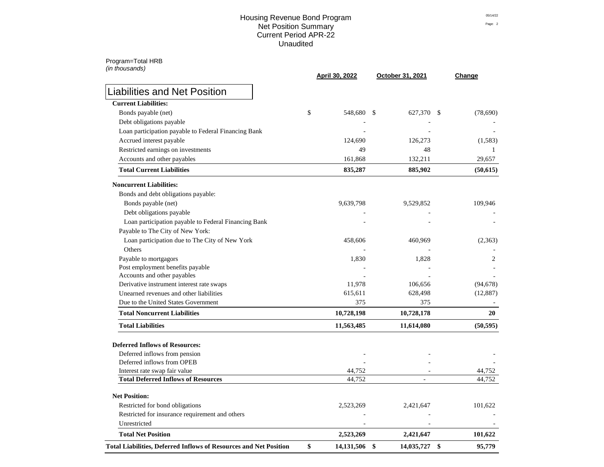#### Housing Revenue Bond Program Prints and Assembly of the Contract of the Contract of the Contract of the Contract of the Contract of the Contract of the Contract of the Contract of the Contract of the Contract of the Contra Net Position Summary Page: 2 Current Period APR-22 Unaudited

| (in thousands)                                                           | <b>April 30, 2022</b> | October 31, 2021            | Change       |  |
|--------------------------------------------------------------------------|-----------------------|-----------------------------|--------------|--|
| <b>Liabilities and Net Position</b>                                      |                       |                             |              |  |
| <b>Current Liabilities:</b>                                              |                       |                             |              |  |
| Bonds payable (net)                                                      | 548,680<br>\$         | 627,370 \$<br>$\mathcal{S}$ | (78,690)     |  |
| Debt obligations payable                                                 |                       |                             |              |  |
| Loan participation payable to Federal Financing Bank                     |                       |                             |              |  |
| Accrued interest payable                                                 | 124,690               | 126,273                     | (1,583)      |  |
| Restricted earnings on investments                                       | 49                    | 48                          |              |  |
| Accounts and other payables                                              | 161,868               | 132,211                     | 29,657       |  |
| <b>Total Current Liabilities</b>                                         | 835,287               | 885,902                     | (50,615)     |  |
| <b>Noncurrent Liabilities:</b>                                           |                       |                             |              |  |
| Bonds and debt obligations payable:                                      |                       |                             |              |  |
| Bonds payable (net)                                                      | 9,639,798             | 9,529,852                   | 109,946      |  |
| Debt obligations payable                                                 |                       |                             |              |  |
| Loan participation payable to Federal Financing Bank                     |                       |                             |              |  |
| Payable to The City of New York:                                         |                       |                             |              |  |
| Loan participation due to The City of New York                           | 458,606               | 460,969                     | (2,363)      |  |
| Others                                                                   |                       |                             |              |  |
| Payable to mortgagors                                                    | 1,830                 | 1,828                       | 2            |  |
| Post employment benefits payable                                         |                       |                             |              |  |
| Accounts and other payables                                              |                       |                             |              |  |
| Derivative instrument interest rate swaps                                | 11,978                | 106,656                     | (94, 678)    |  |
| Unearned revenues and other liabilities                                  | 615,611               | 628,498                     | (12, 887)    |  |
| Due to the United States Government                                      | 375                   | 375                         |              |  |
| <b>Total Noncurrent Liabilities</b>                                      | 10,728,198            | 10,728,178                  | 20           |  |
| <b>Total Liabilities</b>                                                 | 11,563,485            | 11,614,080                  | (50, 595)    |  |
| <b>Deferred Inflows of Resources:</b>                                    |                       |                             |              |  |
| Deferred inflows from pension                                            |                       |                             |              |  |
| Deferred inflows from OPEB                                               |                       |                             |              |  |
| Interest rate swap fair value                                            | 44,752                |                             | 44,752       |  |
| <b>Total Deferred Inflows of Resources</b>                               | 44,752                |                             | 44,752       |  |
| <b>Net Position:</b>                                                     |                       |                             |              |  |
| Restricted for bond obligations                                          | 2,523,269             | 2,421,647                   | 101,622      |  |
| Restricted for insurance requirement and others                          |                       |                             |              |  |
| Unrestricted                                                             |                       |                             |              |  |
| <b>Total Net Position</b>                                                | 2,523,269             | 2,421,647                   | 101,622      |  |
| <b>Total Liabilities, Deferred Inflows of Resources and Net Position</b> | \$<br>14,131,506      | \$<br>14,035,727            | \$<br>95,779 |  |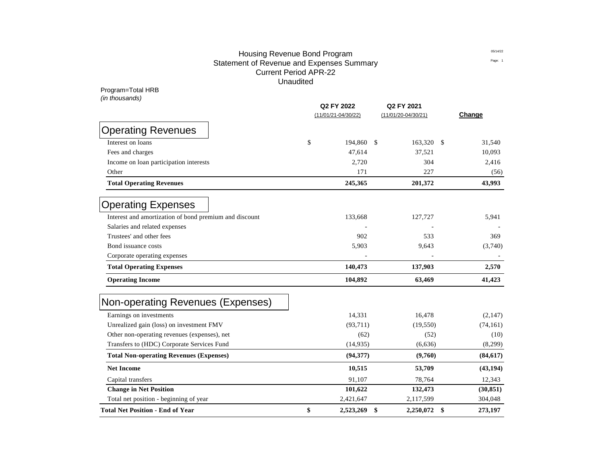# Housing Revenue Bond Program Prints and Allen and Allen and Prints and Prints and Prints and Prints and Prints Statement of Revenue and Expenses Summary **Expenditure Statement of Rege:** 1 Current Period APR-22 Unaudited

| Program=Total HRB<br>(in thousands)                    |                       |                       |            |           |
|--------------------------------------------------------|-----------------------|-----------------------|------------|-----------|
|                                                        | Q2 FY 2022            | Q2 FY 2021            |            |           |
|                                                        | $(11/01/21-04/30/22)$ | $(11/01/20-04/30/21)$ |            | Change    |
| <b>Operating Revenues</b>                              |                       |                       |            |           |
| Interest on loans                                      | \$<br>194,860         | -S                    | 163,320 \$ | 31,540    |
| Fees and charges                                       | 47,614                | 37,521                |            | 10,093    |
| Income on loan participation interests                 | 2,720                 |                       | 304        | 2,416     |
| Other                                                  | 171                   |                       | 227        | (56)      |
| <b>Total Operating Revenues</b>                        | 245,365               | 201,372               |            | 43,993    |
| <b>Operating Expenses</b>                              |                       |                       |            |           |
| Interest and amortization of bond premium and discount | 133,668               | 127,727               |            | 5,941     |
| Salaries and related expenses                          |                       |                       |            |           |
| Trustees' and other fees                               | 902                   |                       | 533        | 369       |
| Bond issuance costs                                    | 5,903                 | 9,643                 |            | (3,740)   |
| Corporate operating expenses                           |                       |                       |            |           |
| <b>Total Operating Expenses</b>                        | 140,473               | 137,903               |            | 2,570     |
| <b>Operating Income</b>                                | 104,892               | 63,469                |            | 41,423    |
| Non-operating Revenues (Expenses)                      |                       |                       |            |           |
| Earnings on investments                                | 14,331                | 16,478                |            | (2,147)   |
| Unrealized gain (loss) on investment FMV               | (93, 711)             | (19, 550)             |            | (74, 161) |
| Other non-operating revenues (expenses), net           | (62)                  |                       | (52)       | (10)      |
| Transfers to (HDC) Corporate Services Fund             | (14, 935)             | (6,636)               |            | (8,299)   |
| <b>Total Non-operating Revenues (Expenses)</b>         | (94, 377)             | (9,760)               |            | (84, 617) |
| <b>Net Income</b>                                      | 10,515                | 53,709                |            | (43, 194) |
| Capital transfers                                      | 91,107                | 78,764                |            | 12,343    |
| <b>Change in Net Position</b>                          | 101,622               | 132,473               |            | (30, 851) |
| Total net position - beginning of year                 | 2,421,647             | 2,117,599             |            | 304,048   |

**Total Net Position - End of Year \$ 2,523,269 \$ 2,250,072 \$ 273,197**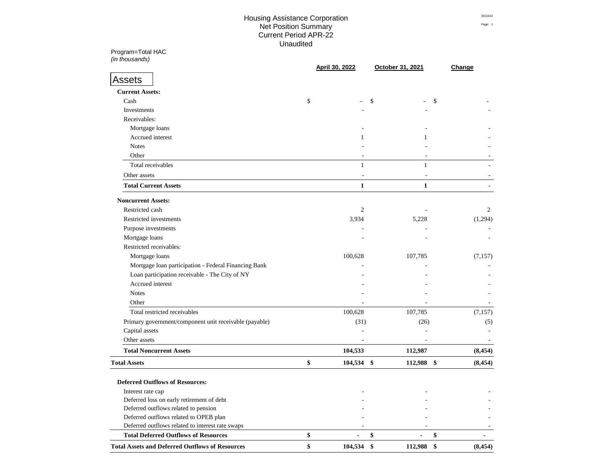# Housing Assistance Corporation Prints and Summary of the Context of the Context of the Context of the Context o **Net Position Summary** Page: 1 Current Period APR-22 Unaudited

Program=Total HAC **Q4 FY 2022 Q4 FY 2021**

| (in thousands)                                                | April 30, 2022                      | October 31, 2021                    | Change                               |
|---------------------------------------------------------------|-------------------------------------|-------------------------------------|--------------------------------------|
| <b>Assets</b>                                                 |                                     |                                     |                                      |
| <b>Current Assets:</b>                                        |                                     |                                     |                                      |
| Cash                                                          | \$                                  | \$                                  | \$                                   |
| Investments                                                   |                                     |                                     |                                      |
| Receivables:                                                  |                                     |                                     |                                      |
| Mortgage loans                                                |                                     |                                     |                                      |
| Accrued interest                                              |                                     |                                     |                                      |
| <b>Notes</b>                                                  |                                     |                                     |                                      |
| Other                                                         |                                     |                                     |                                      |
| Total receivables                                             | 1                                   | 1                                   |                                      |
| Other assets                                                  |                                     |                                     |                                      |
| <b>Total Current Assets</b>                                   | $\mathbf{1}$                        | $\mathbf{1}$                        |                                      |
| <b>Noncurrent Assets:</b>                                     |                                     |                                     |                                      |
| Restricted cash                                               | $\mathfrak{2}$                      |                                     | $\overline{2}$                       |
| Restricted investments                                        | 3,934                               | 5,228                               | (1,294)                              |
| Purpose investments                                           |                                     |                                     |                                      |
| Mortgage loans                                                |                                     |                                     |                                      |
| Restricted receivables:                                       |                                     |                                     |                                      |
| Mortgage loans                                                | 100,628                             | 107,785                             | (7,157)                              |
| Mortgage loan participation - Federal Financing Bank          |                                     |                                     |                                      |
| Loan participation receivable - The City of NY                |                                     |                                     |                                      |
| Accrued interest                                              |                                     |                                     |                                      |
| <b>Notes</b>                                                  |                                     |                                     |                                      |
| Other                                                         |                                     |                                     |                                      |
| Total restricted receivables                                  |                                     |                                     |                                      |
|                                                               | 100,628                             | 107,785                             | (7, 157)                             |
| Primary government/component unit receivable (payable)        | (31)                                | (26)                                | (5)                                  |
| Capital assets                                                |                                     |                                     |                                      |
| Other assets<br><b>Total Noncurrent Assets</b>                | $\overline{\phantom{a}}$<br>104,533 | $\overline{\phantom{a}}$<br>112,987 | $\overline{\phantom{a}}$<br>(8, 454) |
|                                                               |                                     |                                     |                                      |
| <b>Total Assets</b><br><b>Deferred Outflows of Resources:</b> | \$<br>104,534 \$                    | 112,988 \$                          | (8, 454)                             |
| Interest rate cap                                             |                                     |                                     |                                      |
| Deferred loss on early retirement of debt                     |                                     |                                     |                                      |
| Deferred outflows related to pension                          |                                     |                                     |                                      |
| Deferred outflows related to OPEB plan                        |                                     |                                     |                                      |
| Deferred outflows related to interest rate swaps              |                                     |                                     |                                      |
| <b>Total Deferred Outflows of Resources</b>                   | \$<br>$\blacksquare$                | \$<br>$\blacksquare$                | \$                                   |
| <b>Total Assets and Deferred Outflows of Resources</b>        | \$<br>104,534                       | \$<br>112,988                       | (8, 454)<br>\$                       |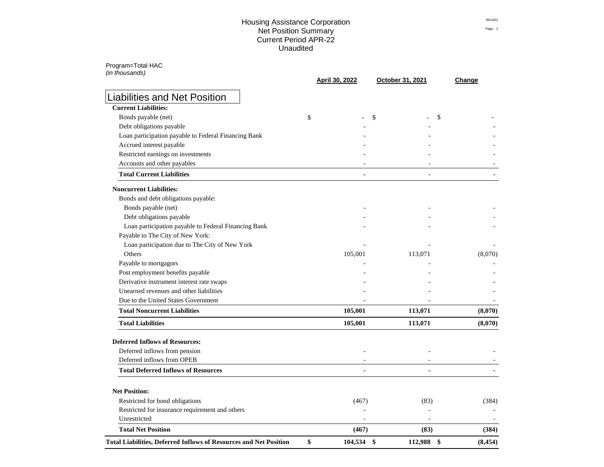### Housing Assistance Corporation Prints and Summary Contracts of the Contracts of the Contracts Net Position Summary Page: 2 Current Period APR-22 Unaudited

Program=Total HAC *(in thousands)*

|                                                                                    | April 30, 2022   | October 31, 2021 | Change   |
|------------------------------------------------------------------------------------|------------------|------------------|----------|
| <b>Liabilities and Net Position</b>                                                |                  |                  |          |
| <b>Current Liabilities:</b>                                                        |                  |                  |          |
| Bonds payable (net)                                                                | \$               | \$               | \$       |
| Debt obligations payable                                                           |                  |                  |          |
| Loan participation payable to Federal Financing Bank                               |                  |                  |          |
| Accrued interest payable                                                           |                  |                  |          |
| Restricted earnings on investments                                                 |                  |                  |          |
| Accounts and other payables                                                        |                  |                  |          |
| <b>Total Current Liabilities</b>                                                   |                  |                  |          |
| <b>Noncurrent Liabilities:</b>                                                     |                  |                  |          |
| Bonds and debt obligations payable:                                                |                  |                  |          |
| Bonds payable (net)                                                                |                  |                  |          |
| Debt obligations payable                                                           |                  |                  |          |
| Loan participation payable to Federal Financing Bank                               |                  |                  |          |
| Payable to The City of New York:                                                   |                  |                  |          |
| Loan participation due to The City of New York                                     |                  |                  |          |
| Others                                                                             | 105,001          | 113,071          | (8,070)  |
| Payable to mortgagors                                                              |                  |                  |          |
| Post employment benefits payable                                                   |                  |                  |          |
| Derivative instrument interest rate swaps                                          |                  |                  |          |
| Unearned revenues and other liabilities                                            |                  |                  |          |
| Due to the United States Government                                                |                  |                  |          |
| <b>Total Noncurrent Liabilities</b>                                                | 105,001          | 113,071          | (8,070)  |
| <b>Total Liabilities</b>                                                           | 105,001          | 113,071          | (8,070)  |
| <b>Deferred Inflows of Resources:</b>                                              |                  |                  |          |
| Deferred inflows from pension                                                      |                  |                  |          |
| Deferred inflows from OPEB                                                         |                  |                  |          |
| <b>Total Deferred Inflows of Resources</b>                                         |                  |                  |          |
| <b>Net Position:</b>                                                               |                  |                  |          |
|                                                                                    |                  | (83)             | (384)    |
| Restricted for bond obligations<br>Restricted for insurance requirement and others | (467)            |                  |          |
| Unrestricted                                                                       |                  |                  |          |
| <b>Total Net Position</b>                                                          | (467)            | (83)             | (384)    |
| <b>Total Liabilities, Deferred Inflows of Resources and Net Position</b>           | \$<br>104,534 \$ | 112,988 \$       | (8, 454) |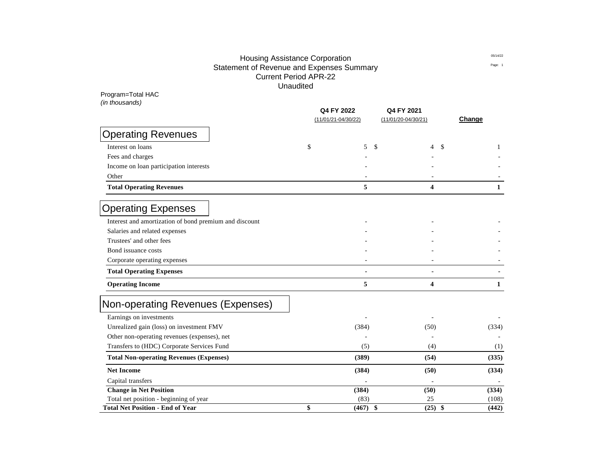# Housing Assistance Corporation Prints and Summary or Prints of the Contract of the Contract of the Contract of the Contract of the Contract of the Contract of the Contract of the Contract of the Contract of the Contract of Statement of Revenue and Expenses Summary **Expenditure Statement of Rege:** 1 Current Period APR-22 Unaudited

Program=Total HAC

*(in thousands)*

|                                                        | Q4 FY 2022<br>$(11/01/21 - 04/30/22)$ | Q4 FY 2021<br>$(11/01/20-04/30/21)$ | Change                         |
|--------------------------------------------------------|---------------------------------------|-------------------------------------|--------------------------------|
|                                                        |                                       |                                     |                                |
| <b>Operating Revenues</b>                              |                                       |                                     |                                |
| Interest on loans                                      | \$<br>5<br>\$                         | 4                                   | $\boldsymbol{\mathsf{S}}$<br>1 |
| Fees and charges                                       |                                       |                                     |                                |
| Income on loan participation interests                 |                                       |                                     |                                |
| Other                                                  |                                       |                                     |                                |
| <b>Total Operating Revenues</b>                        | 5                                     | 4                                   | 1                              |
| <b>Operating Expenses</b>                              |                                       |                                     |                                |
| Interest and amortization of bond premium and discount |                                       |                                     |                                |
| Salaries and related expenses                          |                                       |                                     |                                |
| Trustees' and other fees                               |                                       |                                     |                                |
| Bond issuance costs                                    |                                       |                                     |                                |
| Corporate operating expenses                           |                                       |                                     |                                |
| <b>Total Operating Expenses</b>                        |                                       | $\blacksquare$                      |                                |
| <b>Operating Income</b>                                | 5                                     | 4                                   | $\mathbf{1}$                   |
| Non-operating Revenues (Expenses)                      |                                       |                                     |                                |
| Earnings on investments                                |                                       |                                     |                                |
| Unrealized gain (loss) on investment FMV               | (384)                                 | (50)                                | (334)                          |
| Other non-operating revenues (expenses), net           |                                       |                                     |                                |
| Transfers to (HDC) Corporate Services Fund             | (5)                                   | (4)                                 | (1)                            |
| <b>Total Non-operating Revenues (Expenses)</b>         | (389)                                 | (54)                                | (335)                          |
| <b>Net Income</b>                                      | (384)                                 | (50)                                | (334)                          |
| Capital transfers                                      |                                       |                                     |                                |
| <b>Change in Net Position</b>                          | (384)                                 | (50)                                | (334)                          |
| Total net position - beginning of year                 | (83)                                  | 25                                  | (108)                          |
| <b>Total Net Position - End of Year</b>                | \$<br>(467)<br>\$                     | (25)                                | \$<br>(442)                    |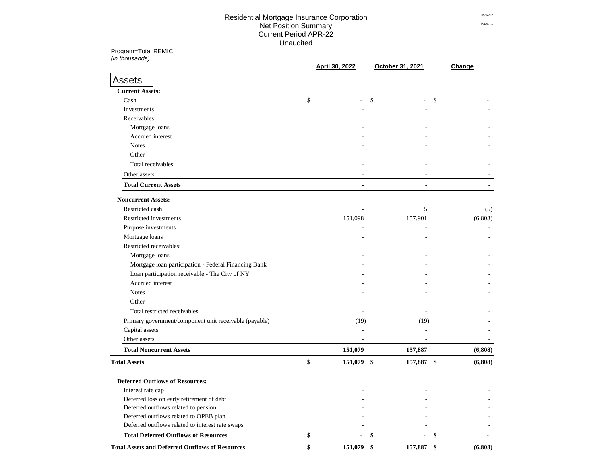# Residential Mortgage Insurance Corporation **Example 2016** 05/14/22 Net Position Summary Page: 1 Current Period APR-22 Prints and Summary Summary Summary Summary Summary Summary Summary Summary Summary Summary Unaudited

Program=Total REMIC **Q2 FY 2022 Q2 FY 2021** *(in thousands)* **(11/01/21-04/30/22) (11/01/20-04/30/21)**

|                                                        | April 30, 2022           | October 31, 2021         | Change        |
|--------------------------------------------------------|--------------------------|--------------------------|---------------|
| <b>Assets</b>                                          |                          |                          |               |
| <b>Current Assets:</b>                                 |                          |                          |               |
| Cash                                                   | \$                       | \$                       | \$            |
| Investments                                            |                          |                          |               |
| Receivables:                                           |                          |                          |               |
| Mortgage loans                                         |                          |                          |               |
| Accrued interest                                       |                          |                          |               |
| <b>Notes</b>                                           |                          |                          |               |
| Other                                                  |                          |                          |               |
| Total receivables                                      |                          |                          |               |
|                                                        |                          |                          |               |
| Other assets                                           |                          |                          |               |
| <b>Total Current Assets</b>                            | $\blacksquare$           | $\blacksquare$           |               |
| <b>Noncurrent Assets:</b>                              |                          |                          |               |
| Restricted cash                                        |                          | 5                        | (5)           |
| Restricted investments                                 | 151,098                  | 157,901                  | (6,803)       |
| Purpose investments                                    |                          |                          |               |
| Mortgage loans                                         |                          |                          |               |
| Restricted receivables:                                |                          |                          |               |
| Mortgage loans                                         |                          |                          |               |
| Mortgage loan participation - Federal Financing Bank   |                          |                          |               |
| Loan participation receivable - The City of NY         |                          |                          |               |
| Accrued interest                                       |                          |                          |               |
| <b>Notes</b>                                           |                          |                          |               |
| Other                                                  |                          |                          |               |
| Total restricted receivables                           | $\overline{\phantom{a}}$ | $\blacksquare$           |               |
| Primary government/component unit receivable (payable) | (19)                     | (19)                     |               |
| Capital assets                                         |                          |                          |               |
| Other assets                                           |                          | $\overline{\phantom{a}}$ |               |
| <b>Total Noncurrent Assets</b>                         | 151,079                  | 157,887                  | (6,808)       |
| <b>Total Assets</b>                                    | \$<br>151,079 \$         | 157,887 \$               | (6,808)       |
| <b>Deferred Outflows of Resources:</b>                 |                          |                          |               |
| Interest rate cap                                      |                          |                          |               |
| Deferred loss on early retirement of debt              |                          |                          |               |
| Deferred outflows related to pension                   |                          |                          |               |
| Deferred outflows related to OPEB plan                 |                          |                          |               |
| Deferred outflows related to interest rate swaps       |                          |                          |               |
| <b>Total Deferred Outflows of Resources</b>            | \$                       | \$                       | \$            |
| <b>Total Assets and Deferred Outflows of Resources</b> | \$<br>151,079 \$         | 157,887                  | \$<br>(6,808) |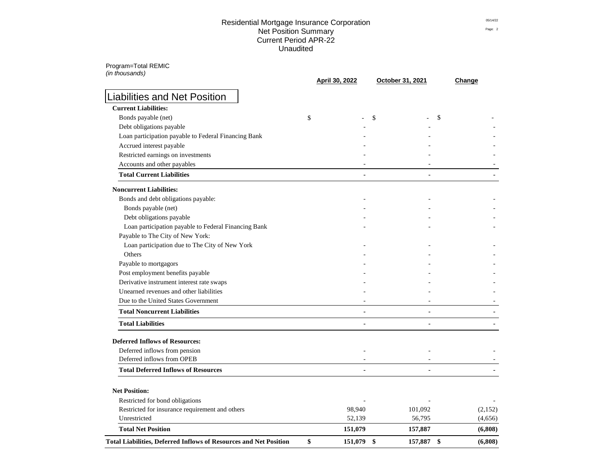### Residential Mortgage Insurance Corporation **Example 2016** 05/14/22 Net Position Summary Page: 2 Current Period APR-22 Unaudited

Program=Total REMIC *(in thousands)*

|                                                                                    | April 30, 2022 | October 31, 2021 | Change  |
|------------------------------------------------------------------------------------|----------------|------------------|---------|
| <b>Liabilities and Net Position</b>                                                |                |                  |         |
| <b>Current Liabilities:</b>                                                        |                |                  |         |
| Bonds payable (net)                                                                | \$             | \$               | S       |
| Debt obligations payable                                                           |                |                  |         |
| Loan participation payable to Federal Financing Bank                               |                |                  |         |
| Accrued interest payable                                                           |                |                  |         |
| Restricted earnings on investments                                                 |                |                  |         |
| Accounts and other payables                                                        |                |                  |         |
| <b>Total Current Liabilities</b>                                                   |                |                  |         |
| <b>Noncurrent Liabilities:</b>                                                     |                |                  |         |
| Bonds and debt obligations payable:                                                |                |                  |         |
| Bonds payable (net)                                                                |                |                  |         |
| Debt obligations payable                                                           |                |                  |         |
| Loan participation payable to Federal Financing Bank                               |                |                  |         |
| Payable to The City of New York:                                                   |                |                  |         |
| Loan participation due to The City of New York                                     |                |                  |         |
| Others                                                                             |                |                  |         |
| Payable to mortgagors                                                              |                |                  |         |
| Post employment benefits payable                                                   |                |                  |         |
| Derivative instrument interest rate swaps                                          |                |                  |         |
| Unearned revenues and other liabilities                                            |                |                  |         |
| Due to the United States Government                                                |                |                  |         |
| <b>Total Noncurrent Liabilities</b>                                                |                |                  |         |
| <b>Total Liabilities</b>                                                           |                | $\blacksquare$   |         |
| <b>Deferred Inflows of Resources:</b>                                              |                |                  |         |
| Deferred inflows from pension                                                      |                |                  |         |
| Deferred inflows from OPEB                                                         |                |                  |         |
| <b>Total Deferred Inflows of Resources</b>                                         |                |                  |         |
| <b>Net Position:</b>                                                               |                |                  |         |
|                                                                                    |                |                  |         |
| Restricted for bond obligations<br>Restricted for insurance requirement and others | 98,940         | 101,092          | (2,152) |
| Unrestricted                                                                       | 52,139         | 56,795           | (4,656) |
| <b>Total Net Position</b>                                                          | 151,079        | 157,887          | (6,808) |
| <b>Total Liabilities, Deferred Inflows of Resources and Net Position</b>           | \$<br>151,079  | \$<br>157,887 \$ | (6,808) |
|                                                                                    |                |                  |         |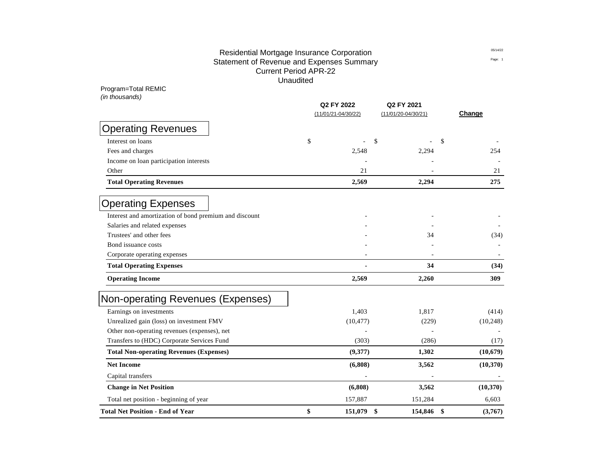# Residential Mortgage Insurance Corporation **Example 2016** 05/14/22 Statement of Revenue and Expenses Summary **Expenditure Statement of Rege:** 1 Current Period APR-22 Prints and Summary Summary Summary Summary Summary Summary Summary Summary Summary Summary Unaudited

| Program=Total REMIC                                    |                         |                         |               |
|--------------------------------------------------------|-------------------------|-------------------------|---------------|
| (in thousands)                                         | Q2 FY 2022              | Q2 FY 2021              |               |
|                                                        | $(11/01/21 - 04/30/22)$ | $(11/01/20 - 04/30/21)$ | Change        |
| <b>Operating Revenues</b>                              |                         |                         |               |
| Interest on loans                                      | \$                      | \$                      | \$            |
| Fees and charges                                       | 2,548                   | 2,294                   | 254           |
| Income on loan participation interests                 |                         |                         |               |
| Other                                                  | 21                      |                         | 21            |
| <b>Total Operating Revenues</b>                        | 2,569                   | 2,294                   | 275           |
| <b>Operating Expenses</b>                              |                         |                         |               |
| Interest and amortization of bond premium and discount |                         |                         |               |
| Salaries and related expenses                          |                         |                         |               |
| Trustees' and other fees                               |                         | 34                      | (34)          |
| Bond issuance costs                                    |                         |                         |               |
| Corporate operating expenses                           |                         |                         |               |
| <b>Total Operating Expenses</b>                        |                         | 34                      | (34)          |
| <b>Operating Income</b>                                | 2,569                   | 2,260                   | 309           |
| Non-operating Revenues (Expenses)                      |                         |                         |               |
| Earnings on investments                                | 1,403                   | 1,817                   | (414)         |
| Unrealized gain (loss) on investment FMV               | (10, 477)               | (229)                   | (10,248)      |
| Other non-operating revenues (expenses), net           |                         |                         |               |
| Transfers to (HDC) Corporate Services Fund             | (303)                   | (286)                   | (17)          |
| <b>Total Non-operating Revenues (Expenses)</b>         | (9,377)                 | 1,302                   | (10, 679)     |
| <b>Net Income</b>                                      | (6,808)                 | 3,562                   | (10, 370)     |
| Capital transfers                                      |                         |                         |               |
| <b>Change in Net Position</b>                          | (6,808)                 | 3,562                   | (10, 370)     |
| Total net position - beginning of year                 | 157,887                 | 151,284                 | 6,603         |
| <b>Total Net Position - End of Year</b>                | \$<br>151,079           | \$<br>154,846           | \$<br>(3,767) |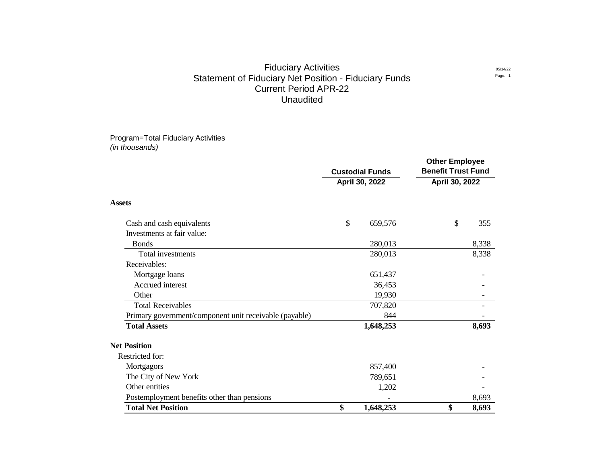### Fiduciary Activities Statement of Fiduciary Net Position - Fiduciary Funds Current Period APR-22 Unaudited

Program=Total Fiduciary Activities *(in thousands)*

|                                                        | <b>Custodial Funds</b> |                | <b>Other Employee</b><br><b>Benefit Trust Fund</b> |       |
|--------------------------------------------------------|------------------------|----------------|----------------------------------------------------|-------|
|                                                        |                        | April 30, 2022 | April 30, 2022                                     |       |
| <b>Assets</b>                                          |                        |                |                                                    |       |
| Cash and cash equivalents                              | \$                     | 659,576        | \$                                                 | 355   |
| Investments at fair value:                             |                        |                |                                                    |       |
| <b>Bonds</b>                                           |                        | 280,013        |                                                    | 8,338 |
| Total investments                                      |                        | 280,013        |                                                    | 8,338 |
| Receivables:                                           |                        |                |                                                    |       |
| Mortgage loans                                         |                        | 651,437        |                                                    |       |
| Accrued interest                                       |                        | 36,453         |                                                    |       |
| Other                                                  |                        | 19,930         |                                                    |       |
| <b>Total Receivables</b>                               |                        | 707,820        |                                                    |       |
| Primary government/component unit receivable (payable) |                        | 844            |                                                    |       |
| <b>Total Assets</b>                                    |                        | 1,648,253      |                                                    | 8,693 |
| <b>Net Position</b>                                    |                        |                |                                                    |       |
| Restricted for:                                        |                        |                |                                                    |       |
| Mortgagors                                             |                        | 857,400        |                                                    |       |
| The City of New York                                   |                        | 789,651        |                                                    |       |
| Other entities                                         |                        | 1,202          |                                                    |       |
| Postemployment benefits other than pensions            |                        |                |                                                    | 8,693 |
| <b>Total Net Position</b>                              | \$                     | 1,648,253      | \$                                                 | 8,693 |

05/14/22 Page: 1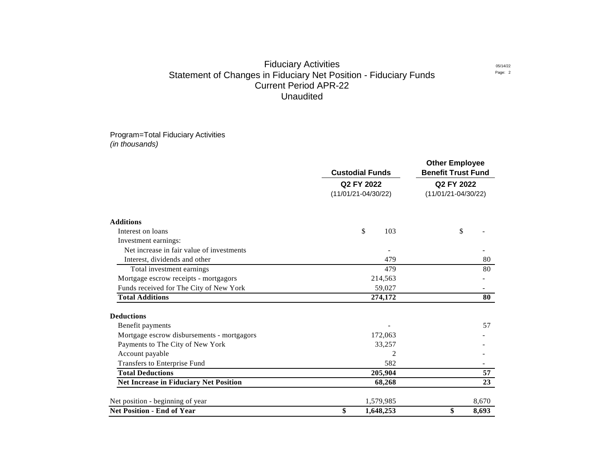# Statement of Changes in Fiduciary Net Position - Fiduciary Funds Current Period APR-22 Unaudited Fiduciary Activities

Program=Total Fiduciary Activities *(in thousands)*

|                                               | <b>Custodial Funds</b>                | <b>Other Employee</b><br><b>Benefit Trust Fund</b> |  |  |
|-----------------------------------------------|---------------------------------------|----------------------------------------------------|--|--|
|                                               | Q2 FY 2022<br>$(11/01/21 - 04/30/22)$ | Q2 FY 2022<br>$(11/01/21 - 04/30/22)$              |  |  |
|                                               |                                       |                                                    |  |  |
| <b>Additions</b>                              |                                       |                                                    |  |  |
| Interest on loans                             | $\boldsymbol{\mathsf{S}}$<br>103      | \$                                                 |  |  |
| Investment earnings:                          |                                       |                                                    |  |  |
| Net increase in fair value of investments     |                                       |                                                    |  |  |
| Interest, dividends and other                 | 479                                   | 80                                                 |  |  |
| Total investment earnings                     | 479                                   | 80                                                 |  |  |
| Mortgage escrow receipts - mortgagors         | 214,563                               |                                                    |  |  |
| Funds received for The City of New York       | 59,027                                |                                                    |  |  |
| <b>Total Additions</b>                        | 274,172                               | 80                                                 |  |  |
| <b>Deductions</b>                             |                                       |                                                    |  |  |
| Benefit payments                              |                                       | 57                                                 |  |  |
| Mortgage escrow disbursements - mortgagors    | 172,063                               |                                                    |  |  |
| Payments to The City of New York              | 33,257                                |                                                    |  |  |
| Account payable                               | $\overline{c}$                        |                                                    |  |  |
| Transfers to Enterprise Fund                  | 582                                   |                                                    |  |  |
| <b>Total Deductions</b>                       | 205,904                               | 57                                                 |  |  |
| <b>Net Increase in Fiduciary Net Position</b> | 68,268                                | 23                                                 |  |  |
| Net position - beginning of year              | 1,579,985                             | 8,670                                              |  |  |
| <b>Net Position - End of Year</b>             | \$<br>1,648,253                       | \$<br>8,693                                        |  |  |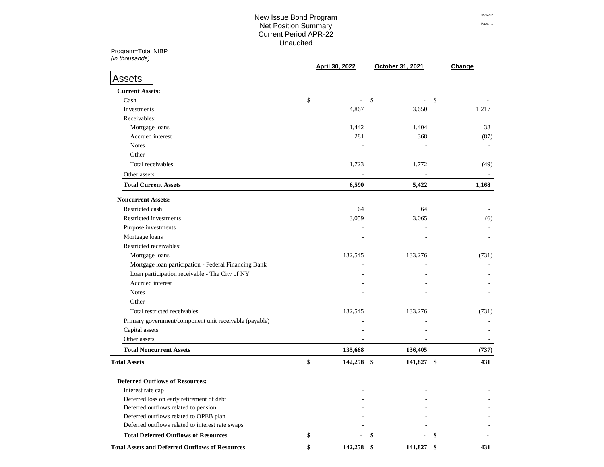# New Issue Bond Program  $\frac{0.5714/22}{0.5714/22}$ Net Position Summary Page: 1 Current Period APR-22 Prints and Summary Summary Summary Summary Summary Summary Summary Summary Summary Summary Unaudited

Program=Total NIBP **Q2 FY 2022 Q2 FY 2021**

| (in thousands)                                         |                      | October 31, 2021         |                          |
|--------------------------------------------------------|----------------------|--------------------------|--------------------------|
| <b>Assets</b>                                          | April 30, 2022       |                          | Change                   |
|                                                        |                      |                          |                          |
| <b>Current Assets:</b>                                 |                      |                          |                          |
| Cash                                                   | \$                   | \$                       | $\mathcal{S}$            |
| Investments                                            | 4,867                | 3,650                    | 1,217                    |
| Receivables:                                           |                      |                          |                          |
| Mortgage loans                                         | 1,442                | 1,404                    | 38                       |
| Accrued interest                                       | 281                  | 368                      | (87)                     |
| <b>Notes</b>                                           |                      |                          |                          |
| Other                                                  |                      |                          |                          |
| Total receivables                                      | 1,723                | 1,772                    | (49)                     |
| Other assets                                           |                      |                          |                          |
| <b>Total Current Assets</b>                            | 6,590                | 5,422                    | 1,168                    |
| <b>Noncurrent Assets:</b>                              |                      |                          |                          |
| Restricted cash                                        | 64                   | 64                       |                          |
| Restricted investments                                 | 3,059                | 3,065                    | (6)                      |
| Purpose investments                                    |                      |                          |                          |
| Mortgage loans                                         |                      |                          |                          |
| Restricted receivables:                                |                      |                          |                          |
| Mortgage loans                                         | 132,545              | 133,276                  | (731)                    |
| Mortgage loan participation - Federal Financing Bank   |                      |                          |                          |
| Loan participation receivable - The City of NY         |                      |                          |                          |
| Accrued interest                                       |                      |                          |                          |
| <b>Notes</b>                                           |                      |                          |                          |
| Other                                                  |                      |                          |                          |
| Total restricted receivables                           | 132,545              | 133,276                  | (731)                    |
| Primary government/component unit receivable (payable) |                      |                          |                          |
| Capital assets                                         |                      |                          |                          |
| Other assets                                           |                      |                          |                          |
| <b>Total Noncurrent Assets</b>                         | 135,668              | 136,405                  | (737)                    |
| <b>Total Assets</b>                                    | \$<br>142,258        | $\frac{1}{2}$<br>141,827 | $\boldsymbol{\$}$<br>431 |
|                                                        |                      |                          |                          |
| <b>Deferred Outflows of Resources:</b>                 |                      |                          |                          |
| Interest rate cap                                      |                      |                          |                          |
| Deferred loss on early retirement of debt              |                      |                          |                          |
| Deferred outflows related to pension                   |                      |                          |                          |
| Deferred outflows related to OPEB plan                 |                      |                          |                          |
| Deferred outflows related to interest rate swaps       |                      |                          |                          |
| <b>Total Deferred Outflows of Resources</b>            | \$<br>$\blacksquare$ | \$                       | \$                       |
| <b>Total Assets and Deferred Outflows of Resources</b> | \$<br>142,258 \$     | 141,827 \$               | 431                      |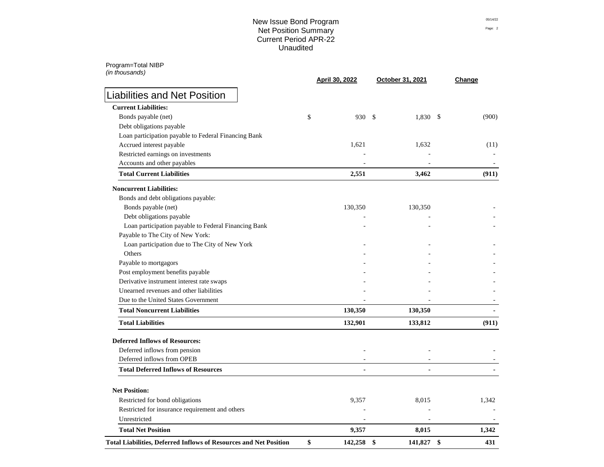### New Issue Bond Program **1988** New Issue Bond Program Net Position Summary Page: 2 Current Period APR-22 Unaudited

Program=Total NIBP

| (in thousands)                                                    | <b>April 30, 2022</b> | October 31, 2021       | Change                 |
|-------------------------------------------------------------------|-----------------------|------------------------|------------------------|
| <b>Liabilities and Net Position</b>                               |                       |                        |                        |
| <b>Current Liabilities:</b>                                       |                       |                        |                        |
| Bonds payable (net)                                               | \$<br>930             | 1,830<br>$\mathcal{S}$ | $\mathcal{S}$<br>(900) |
| Debt obligations payable                                          |                       |                        |                        |
| Loan participation payable to Federal Financing Bank              |                       |                        |                        |
| Accrued interest payable                                          | 1,621                 | 1,632                  | (11)                   |
| Restricted earnings on investments                                |                       |                        |                        |
| Accounts and other payables                                       |                       |                        |                        |
| <b>Total Current Liabilities</b>                                  | 2,551                 | 3,462                  | (911)                  |
| <b>Noncurrent Liabilities:</b>                                    |                       |                        |                        |
| Bonds and debt obligations payable:                               |                       |                        |                        |
| Bonds payable (net)                                               | 130,350               | 130,350                |                        |
| Debt obligations payable                                          |                       |                        |                        |
| Loan participation payable to Federal Financing Bank              |                       |                        |                        |
| Payable to The City of New York:                                  |                       |                        |                        |
| Loan participation due to The City of New York                    |                       |                        |                        |
| Others                                                            |                       |                        |                        |
| Payable to mortgagors                                             |                       |                        |                        |
| Post employment benefits payable                                  |                       |                        |                        |
| Derivative instrument interest rate swaps                         |                       |                        |                        |
| Unearned revenues and other liabilities                           |                       |                        |                        |
| Due to the United States Government                               |                       |                        |                        |
| <b>Total Noncurrent Liabilities</b>                               | 130,350               | 130,350                |                        |
| <b>Total Liabilities</b>                                          | 132,901               | 133,812                | (911)                  |
| <b>Deferred Inflows of Resources:</b>                             |                       |                        |                        |
| Deferred inflows from pension                                     |                       |                        |                        |
| Deferred inflows from OPEB                                        |                       |                        |                        |
| <b>Total Deferred Inflows of Resources</b>                        |                       |                        |                        |
| <b>Net Position:</b>                                              |                       |                        |                        |
| Restricted for bond obligations                                   | 9,357                 | 8,015                  | 1,342                  |
| Restricted for insurance requirement and others                   |                       |                        |                        |
| Unrestricted                                                      |                       |                        |                        |
| <b>Total Net Position</b>                                         | 9,357                 | 8,015                  | 1,342                  |
| Total Liabilities, Deferred Inflows of Resources and Net Position | \$<br>142,258         | \$<br>141,827          | \$<br>431              |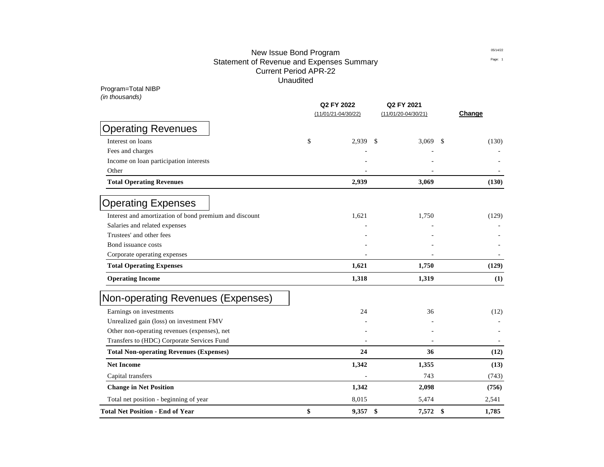# New Issue Bond Program **1988** and 2011 1222 Statement of Revenue and Expenses Summary **Expenditure Statement of Rege:** 1 Current Period APR-22 Prints and Summary Summary Summary Summary Summary Summary Summary Summary Summary Summary Unaudited

| Program=Total NIBP                                     |                                   |                                       |                        |
|--------------------------------------------------------|-----------------------------------|---------------------------------------|------------------------|
| (in thousands)                                         | Q2 FY 2022<br>(11/01/21-04/30/22) | Q2 FY 2021<br>$(11/01/20 - 04/30/21)$ | Change                 |
| <b>Operating Revenues</b>                              |                                   |                                       |                        |
| Interest on loans                                      | \$<br>2,939                       | $\boldsymbol{\mathsf{S}}$<br>3,069    | <sup>\$</sup><br>(130) |
| Fees and charges                                       |                                   |                                       |                        |
| Income on loan participation interests                 |                                   |                                       |                        |
| Other                                                  |                                   |                                       |                        |
| <b>Total Operating Revenues</b>                        | 2,939                             | 3,069                                 | (130)                  |
| <b>Operating Expenses</b>                              |                                   |                                       |                        |
| Interest and amortization of bond premium and discount | 1,621                             | 1,750                                 | (129)                  |
| Salaries and related expenses                          |                                   |                                       |                        |
| Trustees' and other fees                               |                                   |                                       |                        |
| Bond issuance costs                                    |                                   |                                       |                        |
| Corporate operating expenses                           |                                   |                                       |                        |
| <b>Total Operating Expenses</b>                        | 1,621                             | 1,750                                 | (129)                  |
| <b>Operating Income</b>                                | 1,318                             | 1,319                                 | (1)                    |
| Non-operating Revenues (Expenses)                      |                                   |                                       |                        |
| Earnings on investments                                | 24                                | 36                                    | (12)                   |
| Unrealized gain (loss) on investment FMV               |                                   |                                       |                        |
| Other non-operating revenues (expenses), net           |                                   |                                       |                        |
| Transfers to (HDC) Corporate Services Fund             |                                   |                                       |                        |
| <b>Total Non-operating Revenues (Expenses)</b>         | 24                                | 36                                    | (12)                   |
| <b>Net Income</b>                                      | 1,342                             | 1,355                                 | (13)                   |
| Capital transfers                                      |                                   | 743                                   | (743)                  |
| <b>Change in Net Position</b>                          | 1,342                             | 2,098                                 | (756)                  |
| Total net position - beginning of year                 | 8,015                             | 5,474                                 | 2,541                  |
| <b>Total Net Position - End of Year</b>                | \$<br>9,357                       | \$<br>7,572                           | \$<br>1,785            |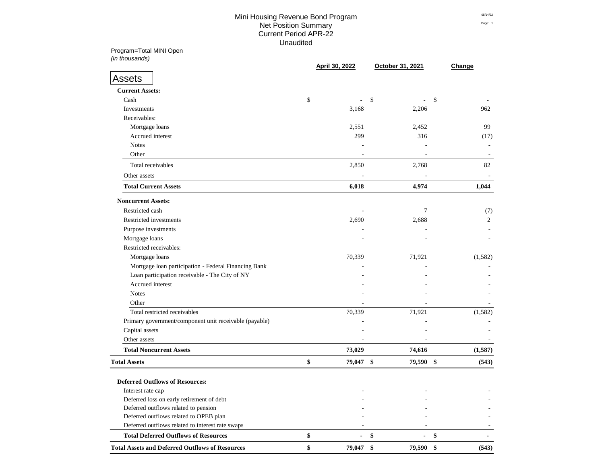# Mini Housing Revenue Bond Program and the contract of the contract of the contract of the contract of the contract of the contract of the contract of the contract of the contract of the contract of the contract of the cont **Net Position Summary** Page: 1 Current Period APR-22 Prints and Summary Summary Summary Summary Summary Summary Summary Summary Summary Summary Unaudited

Program=Total MINI Open **Q2 FY 2022 Q2 FY 2021**

| (in thousands)                                         | April 30, 2022 | October 31, 2021               | Change                 |
|--------------------------------------------------------|----------------|--------------------------------|------------------------|
| <b>Assets</b>                                          |                |                                |                        |
| <b>Current Assets:</b>                                 |                |                                |                        |
| Cash                                                   | \$             | \$                             | \$                     |
| Investments                                            | 3,168          | 2,206                          | 962                    |
| Receivables:                                           |                |                                |                        |
| Mortgage loans                                         | 2,551          | 2,452                          | 99                     |
| Accrued interest                                       | 299            | 316                            | (17)                   |
| <b>Notes</b>                                           |                |                                |                        |
| Other                                                  |                |                                |                        |
| Total receivables                                      | 2,850          | 2,768                          | 82                     |
| Other assets                                           |                |                                |                        |
| <b>Total Current Assets</b>                            | 6,018          | 4,974                          | 1,044                  |
| <b>Noncurrent Assets:</b>                              |                |                                |                        |
| Restricted cash                                        |                | 7                              | (7)                    |
| Restricted investments                                 | 2,690          | 2,688                          | $\overline{2}$         |
| Purpose investments                                    |                |                                |                        |
| Mortgage loans                                         |                |                                |                        |
| Restricted receivables:                                |                |                                |                        |
| Mortgage loans                                         | 70,339         | 71,921                         | (1,582)                |
| Mortgage loan participation - Federal Financing Bank   |                |                                |                        |
| Loan participation receivable - The City of NY         |                |                                |                        |
| Accrued interest                                       |                |                                |                        |
| <b>Notes</b>                                           |                |                                |                        |
| Other                                                  |                |                                |                        |
| Total restricted receivables                           | 70,339         | 71,921                         | (1,582)                |
| Primary government/component unit receivable (payable) |                |                                |                        |
| Capital assets                                         |                |                                |                        |
| Other assets                                           |                |                                |                        |
| <b>Total Noncurrent Assets</b>                         | 73,029         | 74,616                         | (1,587)                |
| <b>Total Assets</b>                                    | \$<br>79,047   | $\boldsymbol{\$}$<br>79,590 \$ | (543)                  |
| <b>Deferred Outflows of Resources:</b>                 |                |                                |                        |
| Interest rate cap                                      |                |                                |                        |
| Deferred loss on early retirement of debt              |                |                                |                        |
| Deferred outflows related to pension                   |                |                                |                        |
| Deferred outflows related to OPEB plan                 |                |                                |                        |
| Deferred outflows related to interest rate swaps       |                |                                |                        |
| <b>Total Deferred Outflows of Resources</b>            | \$             | \$                             | \$                     |
| <b>Total Assets and Deferred Outflows of Resources</b> | \$<br>79,047   | 79,590<br>\$                   | $\frac{1}{2}$<br>(543) |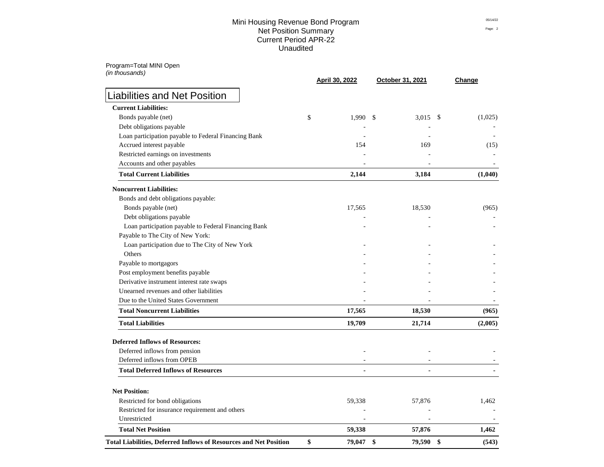### Mini Housing Revenue Bond Program **65/14/22** 85/14/22 Net Position Summary Page: 2 Current Period APR-22 Unaudited

Program=Total MINI Open *(in thousands)*

| $\mu$ , and addition                                                               | April 30, 2022   | October 31, 2021 | Change      |
|------------------------------------------------------------------------------------|------------------|------------------|-------------|
| <b>Liabilities and Net Position</b>                                                |                  |                  |             |
| <b>Current Liabilities:</b>                                                        |                  |                  |             |
| Bonds payable (net)                                                                | \$<br>$1,990$ \$ | 3,015 \$         | (1,025)     |
| Debt obligations payable                                                           |                  |                  |             |
| Loan participation payable to Federal Financing Bank                               |                  |                  |             |
| Accrued interest payable                                                           | 154              | 169              | (15)        |
| Restricted earnings on investments                                                 |                  |                  |             |
| Accounts and other payables                                                        |                  |                  |             |
| <b>Total Current Liabilities</b>                                                   | 2,144            | 3,184            | (1,040)     |
| <b>Noncurrent Liabilities:</b>                                                     |                  |                  |             |
| Bonds and debt obligations payable:                                                |                  |                  |             |
| Bonds payable (net)                                                                | 17,565           | 18,530           | (965)       |
| Debt obligations payable                                                           |                  |                  |             |
| Loan participation payable to Federal Financing Bank                               |                  |                  |             |
| Payable to The City of New York:                                                   |                  |                  |             |
| Loan participation due to The City of New York                                     |                  |                  |             |
| Others                                                                             |                  |                  |             |
| Payable to mortgagors                                                              |                  |                  |             |
| Post employment benefits payable                                                   |                  |                  |             |
| Derivative instrument interest rate swaps                                          |                  |                  |             |
| Unearned revenues and other liabilities                                            |                  |                  |             |
| Due to the United States Government                                                |                  |                  |             |
| <b>Total Noncurrent Liabilities</b>                                                | 17,565           | 18,530           | (965)       |
| <b>Total Liabilities</b>                                                           | 19,709           | 21,714           | (2,005)     |
| <b>Deferred Inflows of Resources:</b>                                              |                  |                  |             |
| Deferred inflows from pension                                                      |                  |                  |             |
| Deferred inflows from OPEB                                                         |                  |                  |             |
| <b>Total Deferred Inflows of Resources</b>                                         |                  |                  |             |
| <b>Net Position:</b>                                                               |                  |                  |             |
|                                                                                    |                  |                  |             |
| Restricted for bond obligations<br>Restricted for insurance requirement and others | 59,338           | 57,876           | 1,462       |
| Unrestricted                                                                       |                  |                  |             |
| <b>Total Net Position</b>                                                          | 59,338           | 57,876           | 1,462       |
| <b>Total Liabilities, Deferred Inflows of Resources and Net Position</b>           | \$<br>79,047     | \$<br>79,590     | \$<br>(543) |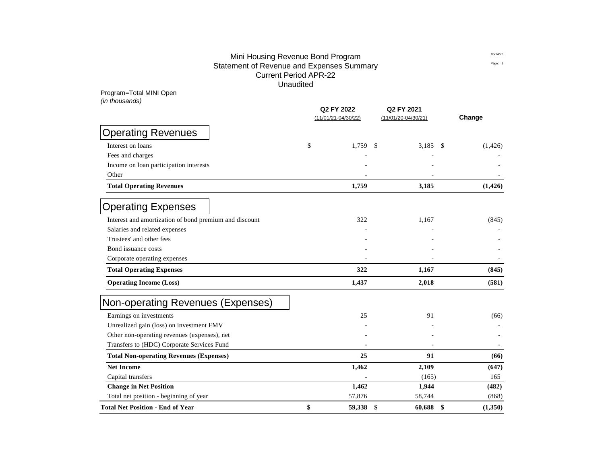# Mini Housing Revenue Bond Program and the contract of the contract of the contract of the contract of the contract of the contract of the contract of the contract of the contract of the contract of the contract of the cont Statement of Revenue and Expenses Summary **Expenditure Statement of Rege:** 1 Current Period APR-22 Prints and Summary Summary Summary Summary Summary Summary Summary Summary Summary Summary Unaudited

Program=Total MINI Open *(in thousands)*

|                                                        | Q2 FY 2022              | Q2 FY 2021            |                  |
|--------------------------------------------------------|-------------------------|-----------------------|------------------|
|                                                        | $(11/01/21 - 04/30/22)$ | $(11/01/20-04/30/21)$ | Change           |
| <b>Operating Revenues</b>                              |                         |                       |                  |
| Interest on loans                                      | \$<br>1,759             | 3,185<br>\$           | (1, 426)<br>- \$ |
| Fees and charges                                       |                         |                       |                  |
| Income on loan participation interests                 |                         |                       |                  |
| Other                                                  |                         |                       |                  |
| <b>Total Operating Revenues</b>                        | 1,759                   | 3,185                 | (1, 426)         |
| <b>Operating Expenses</b>                              |                         |                       |                  |
| Interest and amortization of bond premium and discount | 322                     | 1,167                 | (845)            |
| Salaries and related expenses                          |                         |                       |                  |
| Trustees' and other fees                               |                         |                       |                  |
| Bond issuance costs                                    |                         |                       |                  |
| Corporate operating expenses                           |                         |                       |                  |
| <b>Total Operating Expenses</b>                        | 322                     | 1,167                 | (845)            |
| <b>Operating Income (Loss)</b>                         | 1,437                   | 2,018                 | (581)            |
| Non-operating Revenues (Expenses)                      |                         |                       |                  |
| Earnings on investments                                | 25                      | 91                    | (66)             |
| Unrealized gain (loss) on investment FMV               |                         |                       |                  |
| Other non-operating revenues (expenses), net           |                         |                       |                  |
| Transfers to (HDC) Corporate Services Fund             |                         |                       |                  |
| <b>Total Non-operating Revenues (Expenses)</b>         | 25                      | 91                    | (66)             |
| <b>Net Income</b>                                      | 1,462                   | 2,109                 | (647)            |
| Capital transfers                                      |                         | (165)                 | 165              |
| <b>Change in Net Position</b>                          | 1,462                   | 1,944                 | (482)            |
| Total net position - beginning of year                 | 57,876                  | 58,744                | (868)            |
| <b>Total Net Position - End of Year</b>                | \$<br>59,338            | \$<br>60,688          | \$<br>(1,350)    |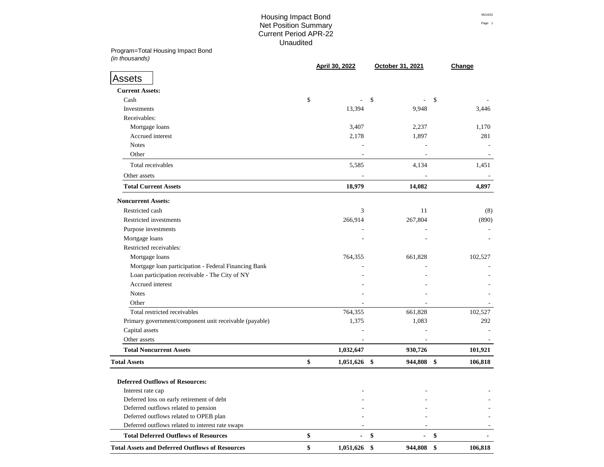# Housing Impact Bond  $^{05/14/22}$ **Net Position Summary** Page: 1 Current Period APR-22 Prints and Summary Summary Summary Summary Summary Summary Summary Summary Summary Summary Unaudited

Program=Total Housing Impact Bond **Q2 FY 2022 Q2 FY 2021** *(in thousands)* **(11/01/21-04/30/22) (11/01/20-04/30/21)**

|                                                        | April 30, 2022  | October 31, 2021 | Change        |
|--------------------------------------------------------|-----------------|------------------|---------------|
| <b>Assets</b>                                          |                 |                  |               |
| <b>Current Assets:</b>                                 |                 |                  |               |
| Cash                                                   | \$              | \$               | \$            |
| Investments                                            | 13,394          | 9,948            | 3,446         |
| Receivables:                                           |                 |                  |               |
| Mortgage loans                                         | 3,407           | 2,237            | 1,170         |
| Accrued interest                                       | 2,178           | 1,897            | 281           |
| <b>Notes</b>                                           |                 |                  |               |
| Other                                                  |                 |                  |               |
| Total receivables                                      | 5,585           | 4,134            | 1,451         |
| Other assets                                           |                 |                  |               |
| <b>Total Current Assets</b>                            | 18,979          | 14,082           | 4,897         |
| <b>Noncurrent Assets:</b>                              |                 |                  |               |
| Restricted cash                                        | 3               | 11               | (8)           |
| Restricted investments                                 | 266,914         | 267,804          | (890)         |
| Purpose investments                                    |                 |                  |               |
| Mortgage loans                                         |                 |                  |               |
| Restricted receivables:                                |                 |                  |               |
| Mortgage loans                                         | 764,355         | 661,828          | 102,527       |
| Mortgage loan participation - Federal Financing Bank   |                 |                  |               |
| Loan participation receivable - The City of NY         |                 |                  |               |
| Accrued interest                                       |                 |                  |               |
| <b>Notes</b>                                           |                 |                  |               |
| Other                                                  |                 |                  |               |
| Total restricted receivables                           | 764,355         | 661,828          | 102,527       |
| Primary government/component unit receivable (payable) | 1,375           | 1,083            | 292           |
| Capital assets                                         |                 |                  |               |
| Other assets                                           |                 |                  |               |
| <b>Total Noncurrent Assets</b>                         | 1,032,647       | 930,726          | 101,921       |
| <b>Total Assets</b>                                    | \$<br>1,051,626 | \$<br>944,808    | \$<br>106,818 |
| <b>Deferred Outflows of Resources:</b>                 |                 |                  |               |
| Interest rate cap                                      |                 |                  |               |
| Deferred loss on early retirement of debt              |                 |                  |               |
| Deferred outflows related to pension                   |                 |                  |               |
| Deferred outflows related to OPEB plan                 |                 |                  |               |
| Deferred outflows related to interest rate swaps       |                 |                  |               |
| <b>Total Deferred Outflows of Resources</b>            | \$              | \$               | \$            |
| <b>Total Assets and Deferred Outflows of Resources</b> | \$<br>1,051,626 | \$<br>944,808    | \$<br>106,818 |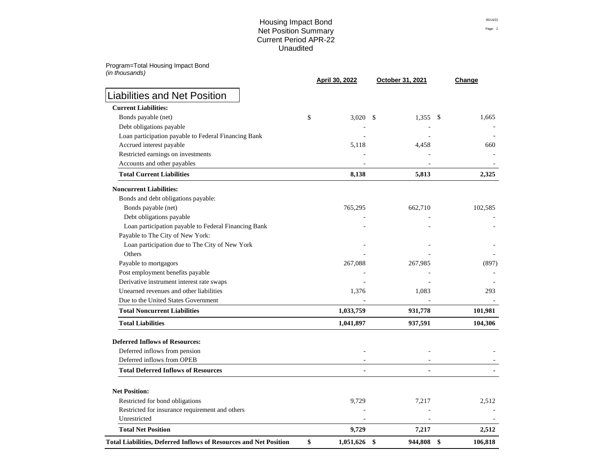### Housing Impact Bond  $^{05/14/22}$ Net Position Summary Page: 2 Current Period APR-22 Unaudited

Program=Total Housing Impact Bond *(in thousands)*

|                                                                          |    | <b>April 30, 2022</b> | October 31, 2021 | Change        |
|--------------------------------------------------------------------------|----|-----------------------|------------------|---------------|
| <b>Liabilities and Net Position</b>                                      |    |                       |                  |               |
| <b>Current Liabilities:</b>                                              |    |                       |                  |               |
| Bonds payable (net)                                                      | \$ | 3,020 \$              | 1,355            | - \$<br>1,665 |
| Debt obligations payable                                                 |    |                       |                  |               |
| Loan participation payable to Federal Financing Bank                     |    |                       |                  |               |
| Accrued interest payable                                                 |    | 5,118                 | 4,458            | 660           |
| Restricted earnings on investments                                       |    |                       |                  |               |
| Accounts and other payables                                              |    |                       |                  |               |
| <b>Total Current Liabilities</b>                                         |    | 8,138                 | 5,813            | 2,325         |
| <b>Noncurrent Liabilities:</b>                                           |    |                       |                  |               |
| Bonds and debt obligations payable:                                      |    |                       |                  |               |
| Bonds payable (net)                                                      |    | 765,295               | 662,710          | 102,585       |
| Debt obligations payable                                                 |    |                       |                  |               |
| Loan participation payable to Federal Financing Bank                     |    |                       |                  |               |
| Payable to The City of New York:                                         |    |                       |                  |               |
| Loan participation due to The City of New York                           |    |                       |                  |               |
| Others                                                                   |    |                       |                  |               |
| Payable to mortgagors                                                    |    | 267,088               | 267,985          | (897)         |
| Post employment benefits payable                                         |    |                       |                  |               |
| Derivative instrument interest rate swaps                                |    |                       |                  |               |
| Unearned revenues and other liabilities                                  |    | 1,376                 | 1,083            | 293           |
| Due to the United States Government                                      |    |                       |                  |               |
| <b>Total Noncurrent Liabilities</b>                                      |    | 1,033,759             | 931,778          | 101,981       |
| <b>Total Liabilities</b>                                                 |    | 1,041,897             | 937,591          | 104,306       |
| <b>Deferred Inflows of Resources:</b>                                    |    |                       |                  |               |
| Deferred inflows from pension                                            |    |                       |                  |               |
| Deferred inflows from OPEB                                               |    |                       |                  |               |
| <b>Total Deferred Inflows of Resources</b>                               |    |                       |                  |               |
| <b>Net Position:</b>                                                     |    |                       |                  |               |
| Restricted for bond obligations                                          |    |                       |                  |               |
| Restricted for insurance requirement and others                          |    | 9,729                 | 7,217            | 2,512         |
| Unrestricted                                                             |    |                       |                  |               |
| <b>Total Net Position</b>                                                |    | 9,729                 | 7,217            | 2,512         |
| <b>Total Liabilities, Deferred Inflows of Resources and Net Position</b> | \$ | 1,051,626 \$          | 944,808          | 106,818<br>\$ |